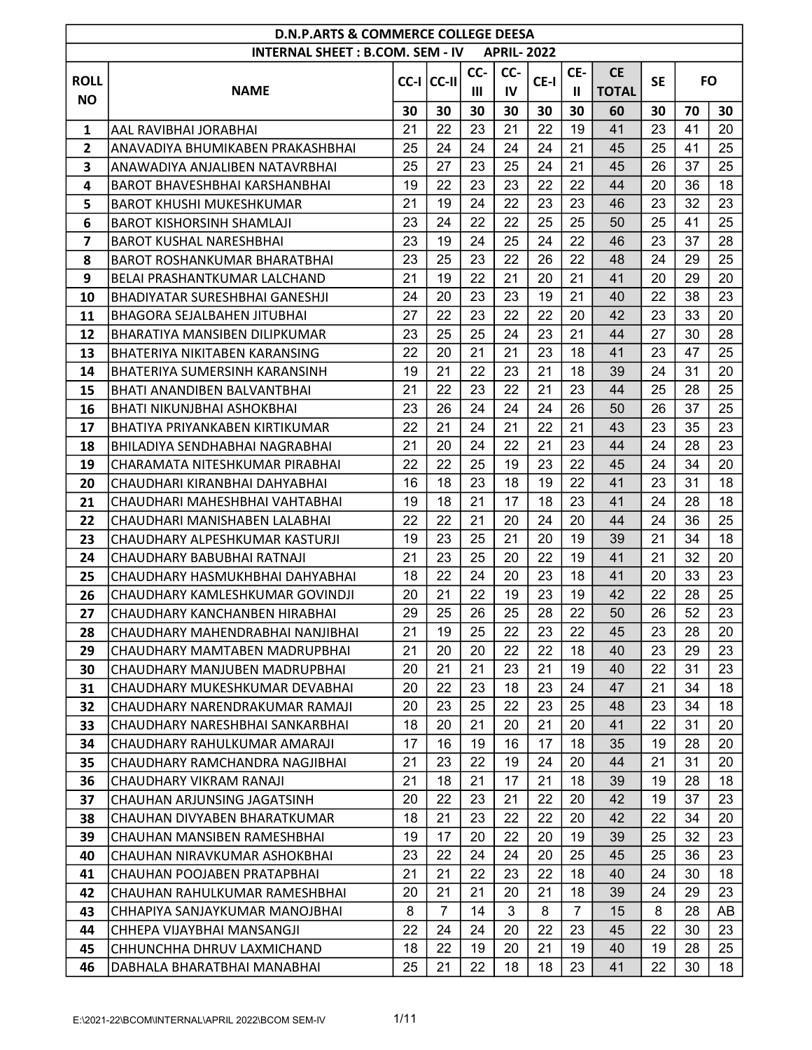|                         | <b>D.N.P.ARTS &amp; COMMERCE COLLEGE DEESA</b><br><b>INTERNAL SHEET: B.COM. SEM - IV</b><br><b>APRIL-2022</b> |    |                |                |     |      |              |              |           |           |    |  |  |  |
|-------------------------|---------------------------------------------------------------------------------------------------------------|----|----------------|----------------|-----|------|--------------|--------------|-----------|-----------|----|--|--|--|
|                         |                                                                                                               |    |                |                |     |      |              |              |           |           |    |  |  |  |
| <b>ROLL</b>             |                                                                                                               |    | CC-I CC-II     | CC-            | CC- | CE-I | CE-          | <b>CE</b>    | <b>SE</b> | <b>FO</b> |    |  |  |  |
| <b>NO</b>               | <b>NAME</b>                                                                                                   |    |                | $\mathbf{III}$ | IV  |      | $\mathbf{I}$ | <b>TOTAL</b> |           |           |    |  |  |  |
|                         |                                                                                                               | 30 | 30             | 30             | 30  | 30   | 30           | 60           | 30        | 70        | 30 |  |  |  |
| 1                       | AAL RAVIBHAI JORABHAI                                                                                         | 21 | 22             | 23             | 21  | 22   | 19           | 41           | 23        | 41        | 20 |  |  |  |
| $\mathbf{2}$            | ANAVADIYA BHUMIKABEN PRAKASHBHAI                                                                              | 25 | 24             | 24             | 24  | 24   | 21           | 45           | 25        | 41        | 25 |  |  |  |
| 3                       | ANAWADIYA ANJALIBEN NATAVRBHAI                                                                                | 25 | 27             | 23             | 25  | 24   | 21           | 45           | 26        | 37        | 25 |  |  |  |
| $\overline{\mathbf{4}}$ | <b>BAROT BHAVESHBHAI KARSHANBHAI</b>                                                                          | 19 | 22             | 23             | 23  | 22   | 22           | 44           | 20        | 36        | 18 |  |  |  |
| 5                       | <b>BAROT KHUSHI MUKESHKUMAR</b>                                                                               | 21 | 19             | 24             | 22  | 23   | 23           | 46           | 23        | 32        | 23 |  |  |  |
| 6                       | <b>BAROT KISHORSINH SHAMLAJI</b>                                                                              | 23 | 24             | 22             | 22  | 25   | 25           | 50           | 25        | 41        | 25 |  |  |  |
| $\overline{\mathbf{z}}$ | <b>BAROT KUSHAL NARESHBHAI</b>                                                                                | 23 | 19             | 24             | 25  | 24   | 22           | 46           | 23        | 37        | 28 |  |  |  |
| 8                       | BAROT ROSHANKUMAR BHARATBHAI                                                                                  | 23 | 25             | 23             | 22  | 26   | 22           | 48           | 24        | 29        | 25 |  |  |  |
| 9                       | BELAI PRASHANTKUMAR LALCHAND                                                                                  | 21 | 19             | 22             | 21  | 20   | 21           | 41           | 20        | 29        | 20 |  |  |  |
| 10                      | BHADIYATAR SURESHBHAI GANESHJI                                                                                | 24 | 20             | 23             | 23  | 19   | 21           | 40           | 22        | 38        | 23 |  |  |  |
| 11                      | <b>BHAGORA SEJALBAHEN JITUBHAI</b>                                                                            | 27 | 22             | 23             | 22  | 22   | 20           | 42           | 23        | 33        | 20 |  |  |  |
| 12                      | BHARATIYA MANSIBEN DILIPKUMAR                                                                                 | 23 | 25             | 25             | 24  | 23   | 21           | 44           | 27        | 30        | 28 |  |  |  |
| 13                      | BHATERIYA NIKITABEN KARANSING                                                                                 | 22 | 20             | 21             | 21  | 23   | 18           | 41           | 23        | 47        | 25 |  |  |  |
| 14                      | BHATERIYA SUMERSINH KARANSINH                                                                                 | 19 | 21             | 22             | 23  | 21   | 18           | 39           | 24        | 31        | 20 |  |  |  |
| 15                      | BHATI ANANDIBEN BALVANTBHAI                                                                                   | 21 | 22             | 23             | 22  | 21   | 23           | 44           | 25        | 28        | 25 |  |  |  |
| 16                      | BHATI NIKUNJBHAI ASHOKBHAI                                                                                    | 23 | 26             | 24             | 24  | 24   | 26           | 50           | 26        | 37        | 25 |  |  |  |
| 17                      | BHATIYA PRIYANKABEN KIRTIKUMAR                                                                                | 22 | 21             | 24             | 21  | 22   | 21           | 43           | 23        | 35        | 23 |  |  |  |
| 18                      | BHILADIYA SENDHABHAI NAGRABHAI                                                                                | 21 | 20             | 24             | 22  | 21   | 23           | 44           | 24        | 28        | 23 |  |  |  |
| 19                      | CHARAMATA NITESHKUMAR PIRABHAI                                                                                | 22 | 22             | 25             | 19  | 23   | 22           | 45           | 24        | 34        | 20 |  |  |  |
| 20                      | CHAUDHARI KIRANBHAI DAHYABHAI                                                                                 | 16 | 18             | 23             | 18  | 19   | 22           | 41           | 23        | 31        | 18 |  |  |  |
| 21                      | CHAUDHARI MAHESHBHAI VAHTABHAI                                                                                | 19 | 18             | 21             | 17  | 18   | 23           | 41           | 24        | 28        | 18 |  |  |  |
| 22                      | CHAUDHARI MANISHABEN LALABHAI                                                                                 | 22 | 22             | 21             | 20  | 24   | 20           | 44           | 24        | 36        | 25 |  |  |  |
| 23                      | CHAUDHARY ALPESHKUMAR KASTURJI                                                                                | 19 | 23             | 25             | 21  | 20   | 19           | 39           | 21        | 34        | 18 |  |  |  |
| 24                      | CHAUDHARY BABUBHAI RATNAJI                                                                                    | 21 | 23             | 25             | 20  | 22   | 19           | 41           | 21        | 32        | 20 |  |  |  |
| 25                      | CHAUDHARY HASMUKHBHAI DAHYABHAI                                                                               | 18 | 22             | 24             | 20  | 23   | 18           | 41           | 20        | 33        | 23 |  |  |  |
| 26                      | CHAUDHARY KAMLESHKUMAR GOVINDJI                                                                               | 20 | 21             | 22             | 19  | 23   | 19           | 42           | 22        | 28        | 25 |  |  |  |
| 27                      | CHAUDHARY KANCHANBEN HIRABHAI                                                                                 | 29 | 25             | 26             | 25  | 28   | 22           | 50           | 26        | 52        | 23 |  |  |  |
| 28                      | CHAUDHARY MAHENDRABHAI NANJIBHAI                                                                              | 21 | 19             | 25             | 22  | 23   | 22           | 45           | 23        | 28        | 20 |  |  |  |
| 29                      | CHAUDHARY MAMTABEN MADRUPBHAI                                                                                 | 21 | 20             | 20             | 22  | 22   | 18           | 40           | 23        | 29        | 23 |  |  |  |
| 30                      | CHAUDHARY MANJUBEN MADRUPBHAI                                                                                 | 20 | 21             | 21             | 23  | 21   | 19           | 40           | 22        | 31        | 23 |  |  |  |
| 31                      | CHAUDHARY MUKESHKUMAR DEVABHAI                                                                                | 20 | 22             | 23             | 18  | 23   | 24           | 47           | 21        | 34        | 18 |  |  |  |
| 32                      | CHAUDHARY NARENDRAKUMAR RAMAJI                                                                                | 20 | 23             | 25             | 22  | 23   | 25           | 48           | 23        | 34        | 18 |  |  |  |
| 33                      | CHAUDHARY NARESHBHAI SANKARBHAI                                                                               | 18 | 20             | 21             | 20  | 21   | 20           | 41           | 22        | 31        | 20 |  |  |  |
| 34                      | CHAUDHARY RAHULKUMAR AMARAJI                                                                                  | 17 | 16             | 19             | 16  | 17   | 18           | 35           | 19        | 28        | 20 |  |  |  |
| 35                      | CHAUDHARY RAMCHANDRA NAGJIBHAI                                                                                | 21 | 23             | 22             | 19  | 24   | 20           | 44           | 21        | 31        | 20 |  |  |  |
| 36                      | CHAUDHARY VIKRAM RANAJI                                                                                       | 21 | 18             | 21             | 17  | 21   | 18           | 39           | 19        | 28        | 18 |  |  |  |
| 37                      | CHAUHAN ARJUNSING JAGATSINH                                                                                   | 20 | 22             | 23             | 21  | 22   | 20           | 42           | 19        | 37        | 23 |  |  |  |
| 38                      | CHAUHAN DIVYABEN BHARATKUMAR                                                                                  | 18 | 21             | 23             | 22  | 22   | 20           | 42           | 22        | 34        | 20 |  |  |  |
| 39                      | CHAUHAN MANSIBEN RAMESHBHAI                                                                                   | 19 | 17             | 20             | 22  | 20   | 19           | 39           | 25        | 32        | 23 |  |  |  |
| 40                      | CHAUHAN NIRAVKUMAR ASHOKBHAI                                                                                  | 23 | 22             | 24             | 24  | 20   | 25           | 45           | 25        | 36        | 23 |  |  |  |
| 41                      | CHAUHAN POOJABEN PRATAPBHAI                                                                                   | 21 | 21             | 22             | 23  | 22   | 18           | 40           | 24        | 30        | 18 |  |  |  |
| 42                      | CHAUHAN RAHULKUMAR RAMESHBHAI                                                                                 | 20 | 21             | 21             | 20  | 21   | 18           | 39           | 24        | 29        | 23 |  |  |  |
| 43                      | CHHAPIYA SANJAYKUMAR MANOJBHAI                                                                                | 8  | $\overline{7}$ | 14             | 3   | 8    | 7            | 15           | 8         | 28        | AB |  |  |  |
| 44                      | CHHEPA VIJAYBHAI MANSANGJI                                                                                    | 22 | 24             | 24             | 20  | 22   | 23           | 45           | 22        | 30        | 23 |  |  |  |
| 45                      | CHHUNCHHA DHRUV LAXMICHAND                                                                                    | 18 | 22             | 19             | 20  | 21   | 19           | 40           | 19        | 28        | 25 |  |  |  |
| 46                      | DABHALA BHARATBHAI MANABHAI                                                                                   | 25 | 21             | 22             | 18  | 18   | 23           | 41           | 22        | 30        | 18 |  |  |  |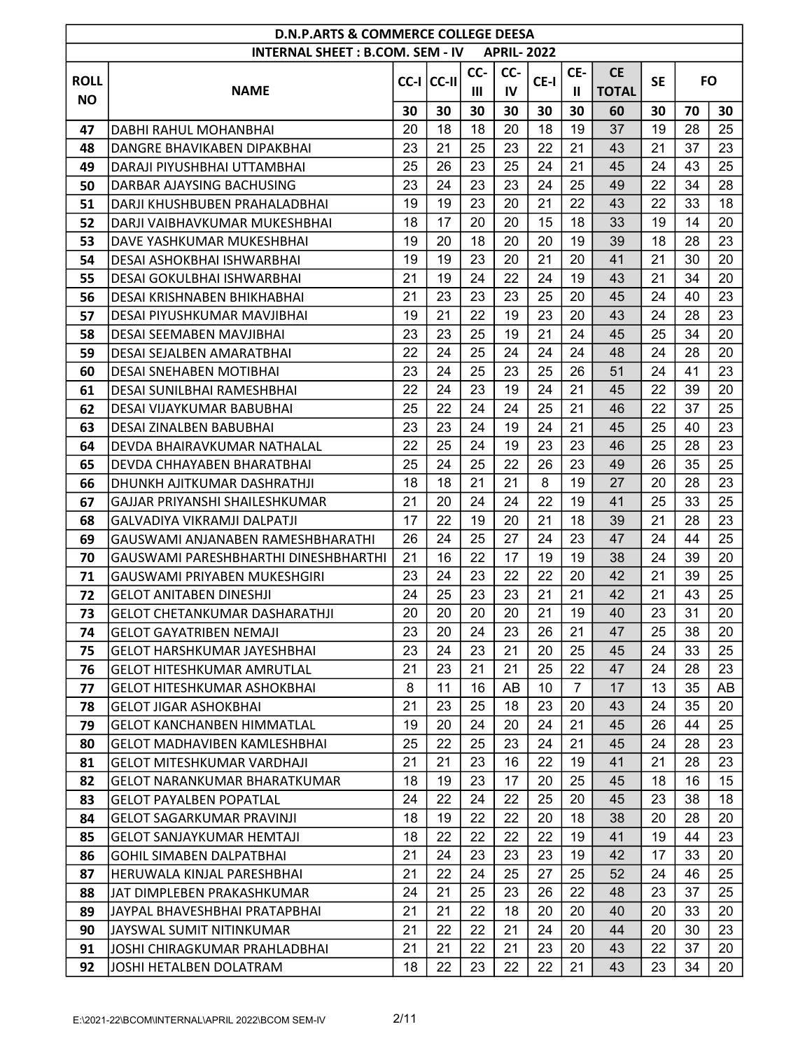|             | <b>D.N.P.ARTS &amp; COMMERCE COLLEGE DEESA</b><br><b>INTERNAL SHEET: B.COM. SEM - IV</b><br><b>APRIL-2022</b> |          |                |          |          |          |     |              |           |    |           |  |  |  |
|-------------|---------------------------------------------------------------------------------------------------------------|----------|----------------|----------|----------|----------|-----|--------------|-----------|----|-----------|--|--|--|
|             |                                                                                                               |          |                |          |          |          |     |              |           |    |           |  |  |  |
| <b>ROLL</b> |                                                                                                               |          | $CC-I$ $CC-II$ | CC-      | CC-      | CE-I     | CE- | <b>CE</b>    | <b>SE</b> |    | <b>FO</b> |  |  |  |
| <b>NO</b>   | <b>NAME</b>                                                                                                   |          |                | Ш        | IV       |          | Ш   | <b>TOTAL</b> |           |    |           |  |  |  |
|             |                                                                                                               | 30       | 30             | 30       | 30       | 30       | 30  | 60           | 30        | 70 | 30        |  |  |  |
| 47          | DABHI RAHUL MOHANBHAI                                                                                         | 20       | 18             | 18       | 20       | 18       | 19  | 37           | 19        | 28 | 25        |  |  |  |
| 48          | DANGRE BHAVIKABEN DIPAKBHAI                                                                                   | 23       | 21             | 25       | 23       | 22       | 21  | 43           | 21        | 37 | 23        |  |  |  |
| 49          | DARAJI PIYUSHBHAI UTTAMBHAI                                                                                   | 25       | 26             | 23       | 25       | 24       | 21  | 45           | 24        | 43 | 25        |  |  |  |
| 50          | DARBAR AJAYSING BACHUSING                                                                                     | 23       | 24             | 23       | 23       | 24       | 25  | 49           | 22        | 34 | 28        |  |  |  |
| 51          | DARJI KHUSHBUBEN PRAHALADBHAI                                                                                 | 19       | 19             | 23       | 20       | 21       | 22  | 43           | 22        | 33 | 18        |  |  |  |
| 52          | DARJI VAIBHAVKUMAR MUKESHBHAI                                                                                 | 18       | 17             | 20       | 20       | 15       | 18  | 33           | 19        | 14 | 20        |  |  |  |
| 53          | DAVE YASHKUMAR MUKESHBHAI                                                                                     | 19       | 20             | 18       | 20       | 20       | 19  | 39           | 18        | 28 | 23        |  |  |  |
| 54          | DESAI ASHOKBHAI ISHWARBHAI                                                                                    | 19       | 19             | 23       | 20       | 21       | 20  | 41           | 21        | 30 | 20        |  |  |  |
| 55          | DESAI GOKULBHAI ISHWARBHAI                                                                                    | 21       | 19             | 24       | 22       | 24       | 19  | 43           | 21        | 34 | 20        |  |  |  |
| 56          | DESAI KRISHNABEN BHIKHABHAI                                                                                   | 21       | 23             | 23       | 23       | 25       | 20  | 45           | 24        | 40 | 23        |  |  |  |
| 57          | DESAI PIYUSHKUMAR MAVJIBHAI                                                                                   | 19       | 21             | 22       | 19       | 23       | 20  | 43           | 24        | 28 | 23        |  |  |  |
| 58          | DESAI SEEMABEN MAVJIBHAI                                                                                      | 23       | 23             | 25       | 19       | 21       | 24  | 45           | 25        | 34 | 20        |  |  |  |
| 59          | DESAI SEJALBEN AMARATBHAI                                                                                     | 22       | 24             | 25       | 24       | 24       | 24  | 48           | 24        | 28 | 20        |  |  |  |
| 60          | DESAI SNEHABEN MOTIBHAI                                                                                       | 23       | 24             | 25       | 23       | 25       | 26  | 51           | 24        | 41 | 23        |  |  |  |
| 61          | DESAI SUNILBHAI RAMESHBHAI                                                                                    | 22       | 24             | 23       | 19       | 24       | 21  | 45           | 22        | 39 | 20        |  |  |  |
| 62          | DESAI VIJAYKUMAR BABUBHAI                                                                                     | 25       | 22             | 24       | 24       | 25       | 21  | 46           | 22        | 37 | 25        |  |  |  |
| 63          | DESAI ZINALBEN BABUBHAI                                                                                       | 23       | 23             | 24       | 19       | 24       | 21  | 45           | 25        | 40 | 23        |  |  |  |
| 64          | DEVDA BHAIRAVKUMAR NATHALAL                                                                                   | 22       | 25             | 24       | 19       | 23       | 23  | 46           | 25        | 28 | 23        |  |  |  |
| 65          | DEVDA CHHAYABEN BHARATBHAI                                                                                    | 25       | 24             | 25       | 22       | 26       | 23  | 49           | 26        | 35 | 25        |  |  |  |
| 66          | DHUNKH AJITKUMAR DASHRATHJI                                                                                   | 18       | 18             | 21       | 21       | 8        | 19  | 27           | 20        | 28 | 23        |  |  |  |
| 67          | GAJJAR PRIYANSHI SHAILESHKUMAR                                                                                | 21       | 20             | 24       | 24       | 22       | 19  | 41           | 25        | 33 | 25        |  |  |  |
| 68          | GALVADIYA VIKRAMJI DALPATJI                                                                                   | 17       | 22             | 19       | 20       | 21       | 18  | 39           | 21        | 28 | 23        |  |  |  |
| 69          | GAUSWAMI ANJANABEN RAMESHBHARATHI                                                                             | 26       | 24             | 25       | 27       | 24       | 23  | 47           | 24        | 44 | 25        |  |  |  |
| 70          | GAUSWAMI PARESHBHARTHI DINESHBHARTHI                                                                          | 21       | 16             | 22       | 17       | 19       | 19  | 38           | 24        | 39 | 20        |  |  |  |
| 71          | GAUSWAMI PRIYABEN MUKESHGIRI                                                                                  | 23       | 24             | 23       | 22       | 22       | 20  | 42           | 21        | 39 | 25        |  |  |  |
| 72          | <b>GELOT ANITABEN DINESHJI</b>                                                                                | 24       | 25             | 23       | 23       | 21       | 21  | 42           | 21        | 43 | 25        |  |  |  |
| 73          | <b>GELOT CHETANKUMAR DASHARATHJI</b>                                                                          | 20       | 20             | 20       | 20       | 21       | 19  | 40           | 23        | 31 | 20        |  |  |  |
| 74          | <b>GELOT GAYATRIBEN NEMAJI</b>                                                                                | 23       | 20             | 24       | 23       | 26       | 21  | 47           | 25        | 38 | 20        |  |  |  |
| 75          | <b>GELOT HARSHKUMAR JAYESHBHAI</b>                                                                            | 23       | 24             | 23       | 21       | 20       | 25  | 45           | 24        | 33 | 25        |  |  |  |
| 76          | <b>GELOT HITESHKUMAR AMRUTLAL</b>                                                                             | 21       | 23             | 21       | 21       | 25       | 22  | 47           | 24        | 28 | 23        |  |  |  |
| 77          | <b>GELOT HITESHKUMAR ASHOKBHAI</b>                                                                            | 8        | 11             | 16       | AB       | 10       | 7   | 17           | 13        | 35 | AB        |  |  |  |
| 78          | <b>GELOT JIGAR ASHOKBHAI</b>                                                                                  | 21       | 23             | 25       | 18       | 23       | 20  | 43           | 24        | 35 | 20        |  |  |  |
| 79          | <b>GELOT KANCHANBEN HIMMATLAL</b>                                                                             | 19       | 20             | 24       | 20       | 24       | 21  | 45           | 26        | 44 | 25        |  |  |  |
| 80          | <b>GELOT MADHAVIBEN KAMLESHBHAI</b>                                                                           | 25       | 22             | 25       | 23       | 24       | 21  | 45           | 24        | 28 | 23        |  |  |  |
| 81          | <b>GELOT MITESHKUMAR VARDHAJI</b>                                                                             | 21       | 21             | 23       | 16       | 22       | 19  | 41           | 21        | 28 | 23        |  |  |  |
| 82          | <b>GELOT NARANKUMAR BHARATKUMAR</b>                                                                           | 18       | 19             | 23       | 17       | 20       | 25  | 45           | 18        | 16 | 15        |  |  |  |
| 83          | <b>GELOT PAYALBEN POPATLAL</b>                                                                                | 24       | 22             | 24       | 22       | 25       | 20  | 45           | 23        | 38 | 18        |  |  |  |
| 84          | <b>GELOT SAGARKUMAR PRAVINJI</b>                                                                              | 18       | 19             | 22       | 22       | 20       | 18  | 38           | 20        | 28 | 20        |  |  |  |
| 85          | <b>GELOT SANJAYKUMAR HEMTAJI</b>                                                                              | 18       | 22             | 22       | 22       | 22       | 19  | 41           | 19        | 44 | 23        |  |  |  |
| 86          | <b>GOHIL SIMABEN DALPATBHAI</b>                                                                               | 21       | 24             | 23       | 23       | 23       | 19  | 42           | 17        | 33 | 20        |  |  |  |
| 87          | HERUWALA KINJAL PARESHBHAI                                                                                    | 21       | 22             | 24       | 25       | 27       | 25  | 52           | 24        | 46 | 25        |  |  |  |
| 88          | JAT DIMPLEBEN PRAKASHKUMAR                                                                                    | 24       | 21             | 25       | 23       | 26       | 22  | 48           | 23        | 37 | 25        |  |  |  |
| 89          | JAYPAL BHAVESHBHAI PRATAPBHAI                                                                                 | 21       | 21             | 22       | 18       | 20       | 20  | 40           | 20        | 33 | 20        |  |  |  |
| 90          | JAYSWAL SUMIT NITINKUMAR                                                                                      | 21<br>21 | 22<br>21       | 22<br>22 | 21<br>21 | 24<br>23 | 20  | 44<br>43     | 20<br>22  | 30 | 23        |  |  |  |
| 91          | JOSHI CHIRAGKUMAR PRAHLADBHAI                                                                                 |          |                |          |          |          | 20  |              |           | 37 | 20        |  |  |  |
| 92          | JOSHI HETALBEN DOLATRAM                                                                                       | 18       | 22             | 23       | 22       | 22       | 21  | 43           | 23        | 34 | 20        |  |  |  |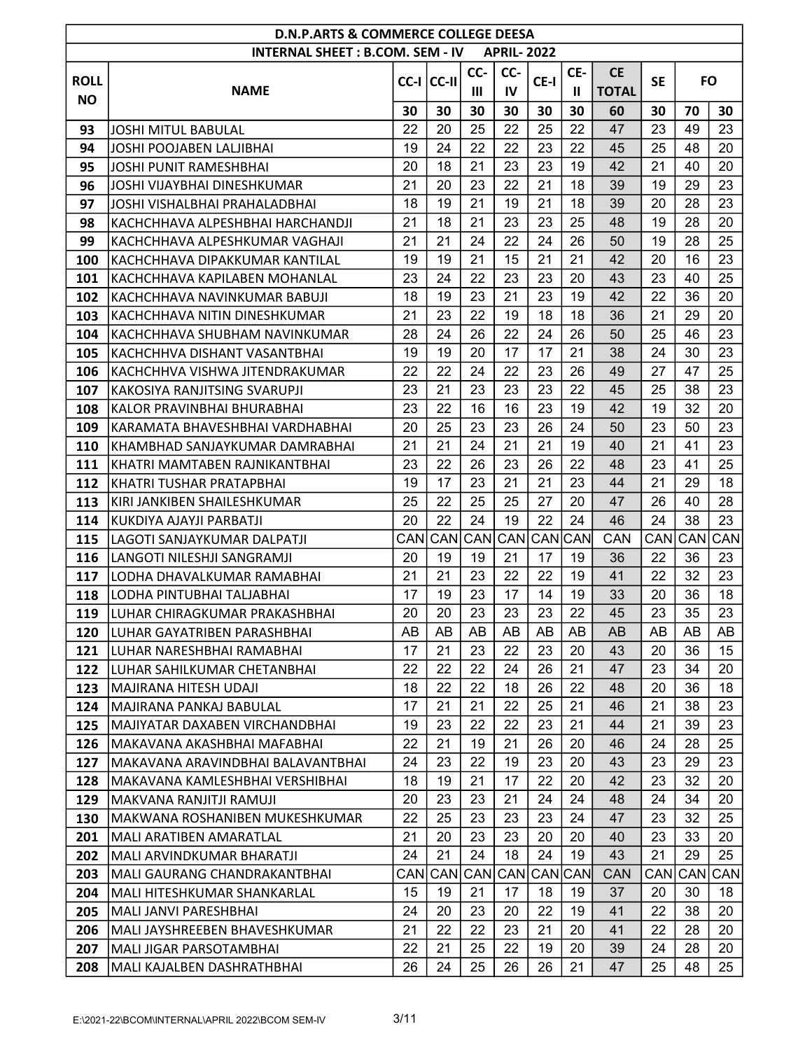|             | <b>D.N.P.ARTS &amp; COMMERCE COLLEGE DEESA</b>               |          |            |                |                   |          |              |              |           |                        |                  |
|-------------|--------------------------------------------------------------|----------|------------|----------------|-------------------|----------|--------------|--------------|-----------|------------------------|------------------|
|             | <b>INTERNAL SHEET: B.COM. SEM - IV</b>                       |          |            |                | <b>APRIL-2022</b> |          |              |              |           |                        |                  |
| <b>ROLL</b> |                                                              |          |            | CC-            | CC-               |          | CE-          | <b>CE</b>    | <b>SE</b> | <b>FO</b>              |                  |
| <b>NO</b>   | <b>NAME</b>                                                  |          | CC-I CC-II | $\mathbf{III}$ | IV                | CE-I     | $\mathbf{I}$ | <b>TOTAL</b> |           |                        |                  |
|             |                                                              | 30       | 30         | 30             | 30                | 30       | 30           | 60           | 30        | 70                     | 30               |
| 93          | <b>JOSHI MITUL BABULAL</b>                                   | 22       | 20         | 25             | 22                | 25       | 22           | 47           | 23        | 49                     | 23               |
| 94          | JOSHI POOJABEN LALJIBHAI                                     | 19       | 24         | 22             | 22                | 23       | 22           | 45           | 25        | 48                     | 20               |
| 95          | <b>JOSHI PUNIT RAMESHBHAI</b>                                | 20       | 18         | 21             | 23                | 23       | 19           | 42           | 21        | 40                     | 20               |
| 96          | <b>JOSHI VIJAYBHAI DINESHKUMAR</b>                           | 21       | 20         | 23             | 22                | 21       | 18           | 39           | 19        | 29                     | 23               |
| 97          | JOSHI VISHALBHAI PRAHALADBHAI                                | 18       | 19         | 21             | 19                | 21       | 18           | 39           | 20        | 28                     | 23               |
| 98          | KACHCHHAVA ALPESHBHAI HARCHANDJI                             | 21       | 18         | 21             | 23                | 23       | 25           | 48           | 19        | 28                     | 20               |
| 99          | KACHCHHAVA ALPESHKUMAR VAGHAJI                               | 21       | 21         | 24             | 22                | 24       | 26           | 50           | 19        | 28                     | 25               |
| 100         | KACHCHHAVA DIPAKKUMAR KANTILAL                               | 19       | 19         | 21             | 15                | 21       | 21           | 42           | 20        | 16                     | 23               |
| 101         | KACHCHHAVA KAPILABEN MOHANLAL                                | 23       | 24         | 22             | 23                | 23       | 20           | 43           | 23        | 40                     | 25               |
| 102         | KACHCHHAVA NAVINKUMAR BABUJI                                 | 18       | 19         | 23             | 21                | 23       | 19           | 42           | 22        | 36                     | 20               |
| 103         | KACHCHHAVA NITIN DINESHKUMAR                                 | 21       | 23         | 22             | 19                | 18       | 18           | 36           | 21        | 29                     | 20               |
| 104         | KACHCHHAVA SHUBHAM NAVINKUMAR                                | 28       | 24         | 26             | 22                | 24       | 26           | 50           | 25        | 46                     | 23               |
| 105         | KACHCHHVA DISHANT VASANTBHAI                                 | 19       | 19         | 20             | 17                | 17       | 21           | 38           | 24        | 30                     | 23               |
| 106         | KACHCHHVA VISHWA JITENDRAKUMAR                               | 22       | 22         | 24             | 22                | 23       | 26           | 49           | 27        | 47                     | 25               |
| 107         | KAKOSIYA RANJITSING SVARUPJI                                 | 23       | 21         | 23             | 23                | 23       | 22           | 45           | 25        | 38                     | 23               |
| 108         | KALOR PRAVINBHAI BHURABHAI                                   | 23       | 22         | 16             | 16                | 23       | 19           | 42           | 19        | 32                     | 20               |
| 109         | KARAMATA BHAVESHBHAI VARDHABHAI                              | 20       | 25         | 23             | 23                | 26       | 24           | 50           | 23        | 50                     | 23               |
| 110         | KHAMBHAD SANJAYKUMAR DAMRABHAI                               | 21       | 21         | 24             | 21                | 21       | 19           | 40           | 21        | 41                     | 23               |
| 111         | KHATRI MAMTABEN RAJNIKANTBHAI                                | 23       | 22         | 26             | 23                | 26       | 22           | 48           | 23        | 41                     | 25               |
| 112         | KHATRI TUSHAR PRATAPBHAI                                     | 19       | 17         | 23             | 21                | 21       | 23           | 44           | 21        | 29                     | 18               |
| 113         | KIRI JANKIBEN SHAILESHKUMAR                                  | 25       | 22         | 25             | 25                | 27       | 20           | 47           | 26        | 40                     | 28               |
| 114         | KUKDIYA AJAYJI PARBATJI                                      | 20       | 22         | 24             | 19                | 22       | 24           | 46           | 24        | 38                     | 23               |
| 115         | LAGOTI SANJAYKUMAR DALPATJI                                  | CANI     | CAN        | CAN            | <b>CAN</b>        | CANCAN   |              | <b>CAN</b>   | CAN       | CAN                    | CAN              |
| 116         | LANGOTI NILESHJI SANGRAMJI                                   | 20       | 19         | 19             | 21                | 17       | 19           | 36           | 22        | 36                     | 23               |
| 117         | LODHA DHAVALKUMAR RAMABHAI                                   | 21       | 21         | 23             | 22                | 22       | 19           | 41           | 22        | 32                     | 23               |
| 118         | ILODHA PINTUBHAI TALJABHAI                                   | 17       | 19         | 23             | 17                | 14       | 19           | 33           | 20        | 36                     | 18               |
| 119         | lLUHAR CHIRAGKUMAR PRAKASHBHAI                               | 20       | 20         | 23             | 23                | 23       | 22           | 45           | 23        | 35                     | 23               |
| 120         | LUHAR GAYATRIBEN PARASHBHAI                                  | AB       | <b>AB</b>  | AB             | AB                | AB       | AB           | AB           | AB        | AB                     | AB               |
| 121         | LUHAR NARESHBHAI RAMABHAI                                    | 17       | 21         | 23             | 22                | 23       | 20           | 43           | 20        | 36                     | 15               |
| 122         | LUHAR SAHILKUMAR CHETANBHAI                                  | 22       | 22         | 22             | 24                | 26       | 21           | 47           | 23        | 34                     | 20               |
| 123         | <b>MAJIRANA HITESH UDAJI</b>                                 | 18       | 22         | 22             | 18                | 26       | 22           | 48           | 20        | 36                     | 18               |
| 124         | MAJIRANA PANKAJ BABULAL                                      | 17       | 21         | 21             | 22                | 25       | 21           | 46           | 21        | 38                     | 23               |
| 125         | MAJIYATAR DAXABEN VIRCHANDBHAI                               | 19       | 23         | 22             | 22                | 23       | 21           | 44           | 21        | 39                     | 23               |
| 126         | MAKAVANA AKASHBHAI MAFABHAI                                  | 22       | 21         | 19             | 21                | 26       | 20           | 46           | 24        | 28                     | 25               |
| 127         | IMAKAVANA ARAVINDBHAI BALAVANTBHAI                           | 24       | 23         | 22             | 19                | 23       | 20           | 43           | 23        | 29                     | 23               |
| 128         | MAKAVANA KAMLESHBHAI VERSHIBHAI                              | 18       | 19         | 21             | 17                | 22       | 20           | 42           | 23        | 32                     | 20               |
| 129         | MAKVANA RANJITJI RAMUJI                                      | 20       | 23         | 23             | 21                | 24       | 24           | 48           | 24        | 34                     | 20               |
| 130         | MAKWANA ROSHANIBEN MUKESHKUMAR                               | 22       | 25         | 23<br>23       | 23<br>23          | 23       | 24           | 47           | 23<br>23  | 32                     | 25               |
| 201         | MALI ARATIBEN AMARATLAL                                      | 21<br>24 | 20<br>21   | 24             | 18                | 20<br>24 | 20<br>19     | 40<br>43     | 21        | 33<br>29               | 20<br>25         |
| 202         | MALI ARVINDKUMAR BHARATJI                                    |          | CAN CAN    | CAN            | <b>CAN</b>        | CANCAN   |              | <b>CAN</b>   | CAN       |                        |                  |
| 203<br>204  | MALI GAURANG CHANDRAKANTBHAI<br> MALI HITESHKUMAR SHANKARLAL | 15       | 19         | 21             | 17                | 18       | 19           | 37           | 20        | CAN <sub>I</sub><br>30 | <b>CAN</b><br>18 |
| 205         | MALI JANVI PARESHBHAI                                        | 24       | 20         | 23             | 20                | 22       | 19           | 41           | 22        | 38                     | 20               |
| 206         | MALI JAYSHREEBEN BHAVESHKUMAR                                | 21       | 22         | 22             | 23                | 21       | 20           | 41           | 22        | 28                     | 20               |
| 207         |                                                              | 22       | 21         | 25             | 22                | 19       | 20           | 39           | 24        | 28                     | 20               |
|             | MALI JIGAR PARSOTAMBHAI                                      | 26       | 24         | 25             | 26                | 26       | 21           |              | 25        | 48                     | 25               |
| 208         | MALI KAJALBEN DASHRATHBHAI                                   |          |            |                |                   |          |              | 47           |           |                        |                  |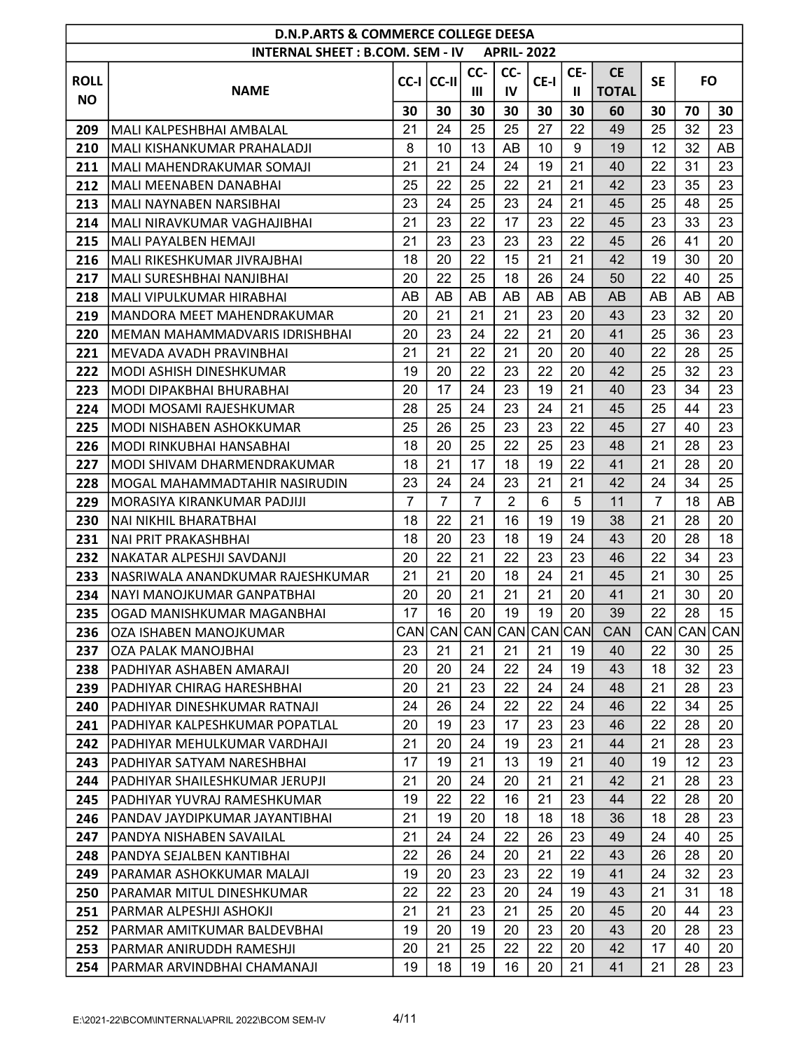|             | <b>D.N.P.ARTS &amp; COMMERCE COLLEGE DEESA</b><br><b>INTERNAL SHEET: B.COM. SEM - IV</b><br><b>APRIL-2022</b> |                |                         |                |                |          |              |              |                |             |          |  |  |  |
|-------------|---------------------------------------------------------------------------------------------------------------|----------------|-------------------------|----------------|----------------|----------|--------------|--------------|----------------|-------------|----------|--|--|--|
|             |                                                                                                               |                |                         |                |                |          |              |              |                |             |          |  |  |  |
| <b>ROLL</b> |                                                                                                               |                | $ CC-I $ $ CC-II $      | CC-            | CC-            | CE-I     | CE-          | <b>CE</b>    | <b>SE</b>      | <b>FO</b>   |          |  |  |  |
| <b>NO</b>   | <b>NAME</b>                                                                                                   |                |                         | $\mathbf{III}$ | IV             |          | $\mathbf{I}$ | <b>TOTAL</b> |                |             |          |  |  |  |
|             |                                                                                                               | 30             | 30                      | 30             | 30             | 30       | 30           | 60           | 30             | 70          | 30       |  |  |  |
| 209         | MALI KALPESHBHAI AMBALAL                                                                                      | 21             | 24                      | 25             | 25             | 27       | 22           | 49           | 25             | 32          | 23       |  |  |  |
| 210         | MALI KISHANKUMAR PRAHALADJI                                                                                   | 8              | 10                      | 13             | AB             | 10       | 9            | 19           | 12             | 32          | AB       |  |  |  |
| 211         | İMALI MAHENDRAKUMAR SOMAJI                                                                                    | 21             | 21                      | 24             | 24             | 19       | 21           | 40           | 22             | 31          | 23       |  |  |  |
| 212         | <b>MALI MEENABEN DANABHAI</b>                                                                                 | 25             | 22                      | 25             | 22             | 21       | 21           | 42           | 23             | 35          | 23       |  |  |  |
| 213         | MALI NAYNABEN NARSIBHAI                                                                                       | 23             | 24                      | 25             | 23             | 24       | 21           | 45           | 25             | 48          | 25       |  |  |  |
| 214         | MALI NIRAVKUMAR VAGHAJIBHAI                                                                                   | 21             | 23                      | 22             | 17             | 23       | 22           | 45           | 23             | 33          | 23       |  |  |  |
| 215         | MALI PAYALBEN HEMAJI                                                                                          | 21             | 23                      | 23             | 23             | 23       | 22           | 45           | 26             | 41          | 20       |  |  |  |
| 216         | MALI RIKESHKUMAR JIVRAJBHAI                                                                                   | 18             | 20                      | 22             | 15             | 21       | 21           | 42           | 19             | 30          | 20       |  |  |  |
| 217         | İMALI SURESHBHAI NANJIBHAI                                                                                    | 20             | 22                      | 25             | 18             | 26       | 24           | 50           | 22             | 40          | 25       |  |  |  |
| 218         | MALI VIPULKUMAR HIRABHAI                                                                                      | AB             | AB                      | AB             | AB             | AB       | AB           | AB           | AB             | AB          | AB       |  |  |  |
| 219         | <b>MANDORA MEET MAHENDRAKUMAR</b>                                                                             | 20             | 21                      | 21             | 21             | 23       | 20           | 43           | 23             | 32          | 20       |  |  |  |
| 220         | IMEMAN MAHAMMADVARIS IDRISHBHAI                                                                               | 20             | 23                      | 24             | 22             | 21       | 20           | 41           | 25             | 36          | 23       |  |  |  |
| 221         | MEVADA AVADH PRAVINBHAI                                                                                       | 21             | 21                      | 22             | 21             | 20       | 20           | 40           | 22             | 28          | 25       |  |  |  |
| 222         | <b>MODI ASHISH DINESHKUMAR</b>                                                                                | 19             | 20                      | 22             | 23             | 22       | 20           | 42           | 25             | 32          | 23       |  |  |  |
| 223         | MODI DIPAKBHAI BHURABHAI                                                                                      | 20             | 17                      | 24             | 23             | 19       | 21           | 40           | 23             | 34          | 23       |  |  |  |
| 224         | MODI MOSAMI RAJESHKUMAR                                                                                       | 28             | 25                      | 24             | 23             | 24       | 21           | 45           | 25             | 44          | 23       |  |  |  |
| 225         | MODI NISHABEN ASHOKKUMAR                                                                                      | 25             | 26                      | 25             | 23             | 23       | 22           | 45           | 27             | 40          | 23       |  |  |  |
| 226         | IMODI RINKUBHAI HANSABHAI                                                                                     | 18             | 20                      | 25             | 22             | 25       | 23           | 48           | 21             | 28          | 23       |  |  |  |
| 227         | MODI SHIVAM DHARMENDRAKUMAR                                                                                   | 18             | 21                      | 17             | 18             | 19       | 22           | 41           | 21             | 28          | 20       |  |  |  |
| 228         | MOGAL MAHAMMADTAHIR NASIRUDIN                                                                                 | 23             | 24                      | 24             | 23             | 21       | 21           | 42           | 24             | 34          | 25       |  |  |  |
| 229         | MORASIYA KIRANKUMAR PADJIJI                                                                                   | $\overline{7}$ | $\overline{7}$          | $\overline{7}$ | $\overline{2}$ | 6        | 5            | 11           | $\overline{7}$ | 18          | AB       |  |  |  |
| 230         | NAI NIKHIL BHARATBHAI                                                                                         | 18<br>18       | 22<br>20                | 21<br>23       | 16<br>18       | 19<br>19 | 19<br>24     | 38<br>43     | 21<br>20       | 28<br>28    | 20<br>18 |  |  |  |
| 231<br>232  | NAI PRIT PRAKASHBHAI                                                                                          | 20             | 22                      | 21             | 22             | 23       | 23           | 46           | 22             | 34          | 23       |  |  |  |
| 233         | NAKATAR ALPESHJI SAVDANJI<br>NASRIWALA ANANDKUMAR RAJESHKUMAR                                                 | 21             | 21                      | 20             | 18             | 24       | 21           | 45           | 21             | 30          | 25       |  |  |  |
| 234         | NAYI MANOJKUMAR GANPATBHAI                                                                                    | 20             | 20                      | 21             | 21             | 21       | 20           | 41           | 21             | 30          | 20       |  |  |  |
| 235         | lOGAD MANISHKUMAR MAGANBHAI                                                                                   | 17             | 16                      | 20             | 19             | 19       | 20           | 39           | 22             | 28          | 15       |  |  |  |
| 236         | OZA ISHABEN MANOJKUMAR                                                                                        |                | CAN CAN CAN CAN CAN CAN |                |                |          |              | <b>CAN</b>   |                | CAN CAN CAN |          |  |  |  |
| 237         | OZA PALAK MANOJBHAI                                                                                           | 23             | 21                      | 21             | 21             | 21       | 19           | 40           | 22             | 30          | 25       |  |  |  |
| 238         | PADHIYAR ASHABEN AMARAJI                                                                                      | 20             | 20                      | 24             | 22             | 24       | 19           | 43           | 18             | 32          | 23       |  |  |  |
| 239         | PADHIYAR CHIRAG HARESHBHAI                                                                                    | 20             | 21                      | 23             | 22             | 24       | 24           | 48           | 21             | 28          | 23       |  |  |  |
| 240         | PADHIYAR DINESHKUMAR RATNAJI                                                                                  | 24             | 26                      | 24             | 22             | 22       | 24           | 46           | 22             | 34          | 25       |  |  |  |
| 241         | PADHIYAR KALPESHKUMAR POPATLAL                                                                                | 20             | 19                      | 23             | 17             | 23       | 23           | 46           | 22             | 28          | 20       |  |  |  |
| 242         | PADHIYAR MEHULKUMAR VARDHAJI                                                                                  | 21             | 20                      | 24             | 19             | 23       | 21           | 44           | 21             | 28          | 23       |  |  |  |
| 243         | PADHIYAR SATYAM NARESHBHAI                                                                                    | 17             | 19                      | 21             | 13             | 19       | 21           | 40           | 19             | 12          | 23       |  |  |  |
| 244         | PADHIYAR SHAILESHKUMAR JERUPJI                                                                                | 21             | 20                      | 24             | 20             | 21       | 21           | 42           | 21             | 28          | 23       |  |  |  |
| 245         | PADHIYAR YUVRAJ RAMESHKUMAR                                                                                   | 19             | 22                      | 22             | 16             | 21       | 23           | 44           | 22             | 28          | 20       |  |  |  |
| 246         | PANDAV JAYDIPKUMAR JAYANTIBHAI                                                                                | 21             | 19                      | 20             | 18             | 18       | 18           | 36           | 18             | 28          | 23       |  |  |  |
| 247         | PANDYA NISHABEN SAVAILAL                                                                                      | 21             | 24                      | 24             | 22             | 26       | 23           | 49           | 24             | 40          | 25       |  |  |  |
| 248         | PANDYA SEJALBEN KANTIBHAI                                                                                     | 22             | 26                      | 24             | 20             | 21       | 22           | 43           | 26             | 28          | 20       |  |  |  |
| 249         | PARAMAR ASHOKKUMAR MALAJI                                                                                     | 19             | 20                      | 23             | 23             | 22       | 19           | 41           | 24             | 32          | 23       |  |  |  |
| 250         | PARAMAR MITUL DINESHKUMAR                                                                                     | 22             | 22                      | 23             | 20             | 24       | 19           | 43           | 21             | 31          | 18       |  |  |  |
| 251         | PARMAR ALPESHJI ASHOKJI                                                                                       | 21             | 21                      | 23             | 21             | 25       | 20           | 45           | 20             | 44          | 23       |  |  |  |
| 252         | PARMAR AMITKUMAR BALDEVBHAI                                                                                   | 19             | 20                      | 19             | 20             | 23       | 20           | 43           | 20             | 28          | 23       |  |  |  |
| 253         | PARMAR ANIRUDDH RAMESHJI                                                                                      | 20             | 21                      | 25             | 22             | 22       | 20           | 42           | 17             | 40          | 20       |  |  |  |
| 254         | PARMAR ARVINDBHAI CHAMANAJI                                                                                   | 19             | 18                      | 19             | 16             | 20       | 21           | 41           | 21             | 28          | 23       |  |  |  |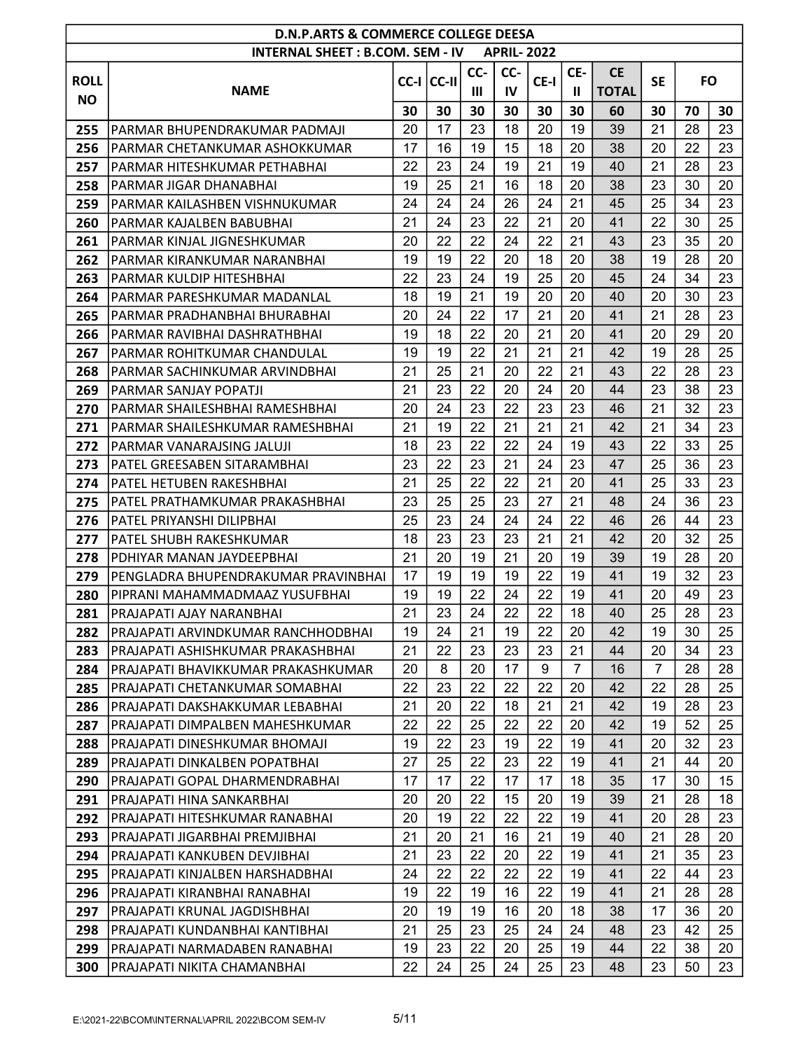|             | <b>D.N.P.ARTS &amp; COMMERCE COLLEGE DEESA</b><br><b>INTERNAL SHEET: B.COM. SEM - IV</b><br><b>APRIL-2022</b> |    |                    |     |     |      |                |              |                |           |    |  |  |  |
|-------------|---------------------------------------------------------------------------------------------------------------|----|--------------------|-----|-----|------|----------------|--------------|----------------|-----------|----|--|--|--|
|             |                                                                                                               |    |                    |     |     |      |                |              |                |           |    |  |  |  |
| <b>ROLL</b> |                                                                                                               |    |                    | CC- | CC- |      | CE-            | <b>CE</b>    | <b>SE</b>      | <b>FO</b> |    |  |  |  |
|             | <b>NAME</b>                                                                                                   |    | $ CC-I $ $ CC-II $ | Ш   | IV  | CE-I | Ш              | <b>TOTAL</b> |                |           |    |  |  |  |
| <b>NO</b>   |                                                                                                               | 30 | 30                 | 30  | 30  | 30   | 30             | 60           | 30             | 70        | 30 |  |  |  |
| 255         | PARMAR BHUPENDRAKUMAR PADMAJI                                                                                 | 20 | 17                 | 23  | 18  | 20   | 19             | 39           | 21             | 28        | 23 |  |  |  |
| 256         | IPARMAR CHETANKUMAR ASHOKKUMAR                                                                                | 17 | 16                 | 19  | 15  | 18   | 20             | 38           | 20             | 22        | 23 |  |  |  |
| 257         | PARMAR HITESHKUMAR PETHABHAI                                                                                  | 22 | 23                 | 24  | 19  | 21   | 19             | 40           | 21             | 28        | 23 |  |  |  |
| 258         | PARMAR JIGAR DHANABHAI                                                                                        | 19 | 25                 | 21  | 16  | 18   | 20             | 38           | 23             | 30        | 20 |  |  |  |
| 259         | PARMAR KAILASHBEN VISHNUKUMAR                                                                                 | 24 | 24                 | 24  | 26  | 24   | 21             | 45           | 25             | 34        | 23 |  |  |  |
| 260         | PARMAR KAJALBEN BABUBHAI                                                                                      | 21 | 24                 | 23  | 22  | 21   | 20             | 41           | 22             | 30        | 25 |  |  |  |
| 261         | PARMAR KINJAL JIGNESHKUMAR                                                                                    | 20 | 22                 | 22  | 24  | 22   | 21             | 43           | 23             | 35        | 20 |  |  |  |
| 262         | PARMAR KIRANKUMAR NARANBHAI                                                                                   | 19 | 19                 | 22  | 20  | 18   | 20             | 38           | 19             | 28        | 20 |  |  |  |
| 263         | IPARMAR KULDIP HITESHBHAI                                                                                     | 22 | 23                 | 24  | 19  | 25   | 20             | 45           | 24             | 34        | 23 |  |  |  |
| 264         | PARMAR PARESHKUMAR MADANLAL                                                                                   | 18 | 19                 | 21  | 19  | 20   | 20             | 40           | 20             | 30        | 23 |  |  |  |
| 265         | PARMAR PRADHANBHAI BHURABHAI                                                                                  | 20 | 24                 | 22  | 17  | 21   | 20             | 41           | 21             | 28        | 23 |  |  |  |
| 266         | PARMAR RAVIBHAI DASHRATHBHAI                                                                                  | 19 | 18                 | 22  | 20  | 21   | 20             | 41           | 20             | 29        | 20 |  |  |  |
| 267         | PARMAR ROHITKUMAR CHANDULAL                                                                                   | 19 | 19                 | 22  | 21  | 21   | 21             | 42           | 19             | 28        | 25 |  |  |  |
| 268         | PARMAR SACHINKUMAR ARVINDBHAI                                                                                 | 21 | 25                 | 21  | 20  | 22   | 21             | 43           | 22             | 28        | 23 |  |  |  |
| 269         | PARMAR SANJAY POPATJI                                                                                         | 21 | 23                 | 22  | 20  | 24   | 20             | 44           | 23             | 38        | 23 |  |  |  |
| 270         | PARMAR SHAILESHBHAI RAMESHBHAI                                                                                | 20 | 24                 | 23  | 22  | 23   | 23             | 46           | 21             | 32        | 23 |  |  |  |
| 271         | PARMAR SHAILESHKUMAR RAMESHBHAI                                                                               | 21 | 19                 | 22  | 21  | 21   | 21             | 42           | 21             | 34        | 23 |  |  |  |
| 272         | PARMAR VANARAJSING JALUJI                                                                                     | 18 | 23                 | 22  | 22  | 24   | 19             | 43           | 22             | 33        | 25 |  |  |  |
| 273         | PATEL GREESABEN SITARAMBHAI                                                                                   | 23 | 22                 | 23  | 21  | 24   | 23             | 47           | 25             | 36        | 23 |  |  |  |
| 274         | PATEL HETUBEN RAKESHBHAI                                                                                      | 21 | 25                 | 22  | 22  | 21   | 20             | 41           | 25             | 33        | 23 |  |  |  |
| 275         | IPATEL PRATHAMKUMAR PRAKASHBHAI                                                                               | 23 | 25                 | 25  | 23  | 27   | 21             | 48           | 24             | 36        | 23 |  |  |  |
| 276         | PATEL PRIYANSHI DILIPBHAI                                                                                     | 25 | 23                 | 24  | 24  | 24   | 22             | 46           | 26             | 44        | 23 |  |  |  |
| 277         | PATEL SHUBH RAKESHKUMAR                                                                                       | 18 | 23                 | 23  | 23  | 21   | 21             | 42           | 20             | 32        | 25 |  |  |  |
| 278         | PDHIYAR MANAN JAYDEEPBHAI                                                                                     | 21 | 20                 | 19  | 21  | 20   | 19             | 39           | 19             | 28        | 20 |  |  |  |
| 279         | PENGLADRA BHUPENDRAKUMAR PRAVINBHAI                                                                           | 17 | 19                 | 19  | 19  | 22   | 19             | 41           | 19             | 32        | 23 |  |  |  |
| 280         | PIPRANI MAHAMMADMAAZ YUSUFBHAI                                                                                | 19 | 19                 | 22  | 24  | 22   | 19             | 41           | 20             | 49        | 23 |  |  |  |
| 281         | IPRAJAPATI AJAY NARANBHAI                                                                                     | 21 | 23                 | 24  | 22  | 22   | 18             | 40           | 25             | 28        | 23 |  |  |  |
| 282         | PRAJAPATI ARVINDKUMAR RANCHHODBHAI                                                                            | 19 | 24                 | 21  | 19  | 22   | 20             | 42           | 19             | 30        | 25 |  |  |  |
| 283         | PRAJAPATI ASHISHKUMAR PRAKASHBHAI                                                                             | 21 | 22                 | 23  | 23  | 23   | 21             | 44           | 20             | 34        | 23 |  |  |  |
| 284         | PRAJAPATI BHAVIKKUMAR PRAKASHKUMAR                                                                            | 20 | 8                  | 20  | 17  | 9    | $\overline{7}$ | 16           | $\overline{7}$ | 28        | 28 |  |  |  |
| 285         | PRAJAPATI CHETANKUMAR SOMABHAI                                                                                | 22 | 23                 | 22  | 22  | 22   | 20             | 42           | 22             | 28        | 25 |  |  |  |
| 286         | PRAJAPATI DAKSHAKKUMAR LEBABHAI                                                                               | 21 | 20                 | 22  | 18  | 21   | 21             | 42           | 19             | 28        | 23 |  |  |  |
| 287         | PRAJAPATI DIMPALBEN MAHESHKUMAR                                                                               | 22 | 22                 | 25  | 22  | 22   | 20             | 42           | 19             | 52        | 25 |  |  |  |
| 288         | PRAJAPATI DINESHKUMAR BHOMAJI                                                                                 | 19 | 22                 | 23  | 19  | 22   | 19             | 41           | 20             | 32        | 23 |  |  |  |
| 289         | PRAJAPATI DINKALBEN POPATBHAI                                                                                 | 27 | 25                 | 22  | 23  | 22   | 19             | 41           | 21             | 44        | 20 |  |  |  |
| 290         | PRAJAPATI GOPAL DHARMENDRABHAI                                                                                | 17 | 17                 | 22  | 17  | 17   | 18             | 35           | 17             | 30        | 15 |  |  |  |
| 291         | PRAJAPATI HINA SANKARBHAI                                                                                     | 20 | 20                 | 22  | 15  | 20   | 19             | 39           | 21             | 28        | 18 |  |  |  |
| 292         | PRAJAPATI HITESHKUMAR RANABHAI                                                                                | 20 | 19                 | 22  | 22  | 22   | 19             | 41           | 20             | 28        | 23 |  |  |  |
| 293         | PRAJAPATI JIGARBHAI PREMJIBHAI                                                                                | 21 | 20                 | 21  | 16  | 21   | 19             | 40           | 21             | 28        | 20 |  |  |  |
| 294         | PRAJAPATI KANKUBEN DEVJIBHAI                                                                                  | 21 | 23                 | 22  | 20  | 22   | 19             | 41           | 21             | 35        | 23 |  |  |  |
| 295         | PRAJAPATI KINJALBEN HARSHADBHAI                                                                               | 24 | 22                 | 22  | 22  | 22   | 19             | 41           | 22             | 44        | 23 |  |  |  |
| 296         | PRAJAPATI KIRANBHAI RANABHAI                                                                                  | 19 | 22                 | 19  | 16  | 22   | 19             | 41           | 21             | 28        | 28 |  |  |  |
| 297         | PRAJAPATI KRUNAL JAGDISHBHAI                                                                                  | 20 | 19                 | 19  | 16  | 20   | 18             | 38           | 17             | 36        | 20 |  |  |  |
| 298         | PRAJAPATI KUNDANBHAI KANTIBHAI                                                                                | 21 | 25                 | 23  | 25  | 24   | 24             | 48           | 23             | 42        | 25 |  |  |  |
| 299         | PRAJAPATI NARMADABEN RANABHAI                                                                                 | 19 | 23                 | 22  | 20  | 25   | 19             | 44           | 22             | 38        | 20 |  |  |  |
| 300         | PRAJAPATI NIKITA CHAMANBHAI                                                                                   | 22 | 24                 | 25  | 24  | 25   | 23             | 48           | 23             | 50        | 23 |  |  |  |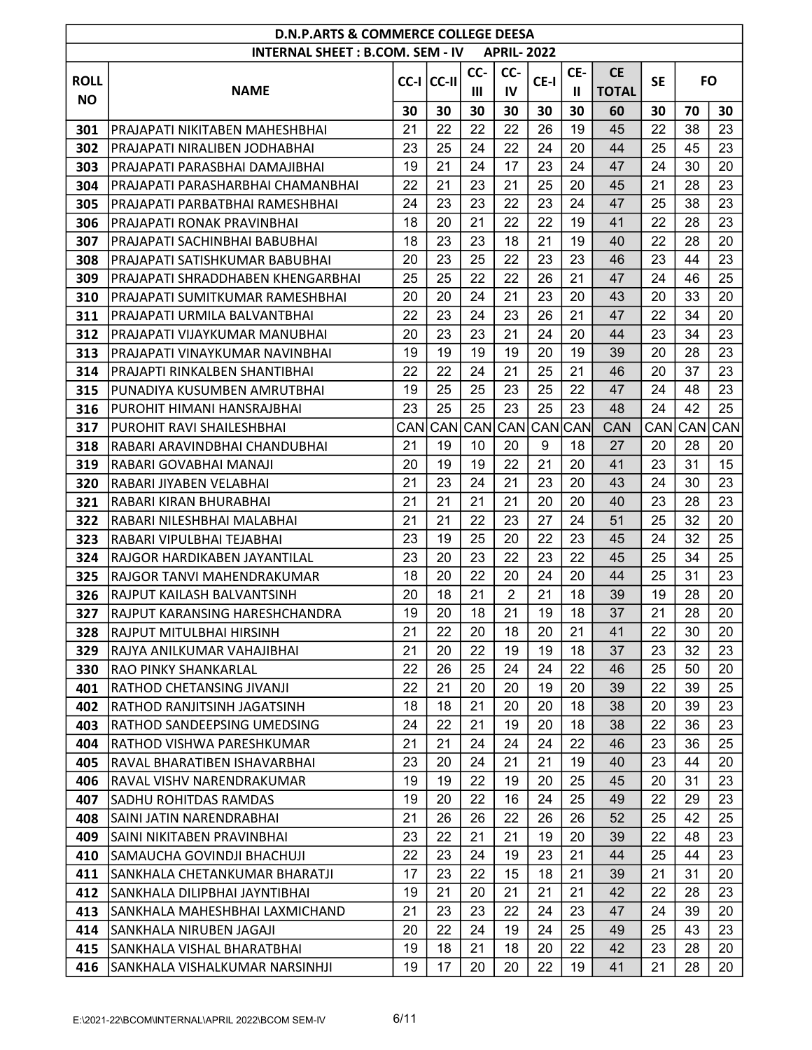|             | <b>D.N.P.ARTS &amp; COMMERCE COLLEGE DEESA</b><br><b>INTERNAL SHEET: B.COM. SEM - IV</b><br><b>APRIL-2022</b> |      |            |     |                |                    |     |              |           |           |     |  |  |
|-------------|---------------------------------------------------------------------------------------------------------------|------|------------|-----|----------------|--------------------|-----|--------------|-----------|-----------|-----|--|--|
|             |                                                                                                               |      |            |     |                |                    |     |              |           |           |     |  |  |
| <b>ROLL</b> |                                                                                                               |      | CC-I CC-II | CC- | CC-            | CE-I               | CE- | <b>CE</b>    | <b>SE</b> | <b>FO</b> |     |  |  |
| <b>NO</b>   | <b>NAME</b>                                                                                                   |      |            | Ш   | IV             |                    | Ш   | <b>TOTAL</b> |           |           |     |  |  |
|             |                                                                                                               | 30   | 30         | 30  | 30             | 30                 | 30  | 60           | 30        | 70        | 30  |  |  |
| 301         | PRAJAPATI NIKITABEN MAHESHBHAI                                                                                | 21   | 22         | 22  | 22             | 26                 | 19  | 45           | 22        | 38        | 23  |  |  |
| 302         | PRAJAPATI NIRALIBEN JODHABHAI                                                                                 | 23   | 25         | 24  | 22             | 24                 | 20  | 44           | 25        | 45        | 23  |  |  |
| 303         | PRAJAPATI PARASBHAI DAMAJIBHAI                                                                                | 19   | 21         | 24  | 17             | 23                 | 24  | 47           | 24        | 30        | 20  |  |  |
| 304         | PRAJAPATI PARASHARBHAI CHAMANBHAI                                                                             | 22   | 21         | 23  | 21             | 25                 | 20  | 45           | 21        | 28        | 23  |  |  |
| 305         | PRAJAPATI PARBATBHAI RAMESHBHAI                                                                               | 24   | 23         | 23  | 22             | 23                 | 24  | 47           | 25        | 38        | 23  |  |  |
| 306         | PRAJAPATI RONAK PRAVINBHAI                                                                                    | 18   | 20         | 21  | 22             | 22                 | 19  | 41           | 22        | 28        | 23  |  |  |
| 307         | PRAJAPATI SACHINBHAI BABUBHAI                                                                                 | 18   | 23         | 23  | 18             | 21                 | 19  | 40           | 22        | 28        | 20  |  |  |
| 308         | PRAJAPATI SATISHKUMAR BABUBHAI                                                                                | 20   | 23         | 25  | 22             | 23                 | 23  | 46           | 23        | 44        | 23  |  |  |
| 309         | PRAJAPATI SHRADDHABEN KHENGARBHAI                                                                             | 25   | 25         | 22  | 22             | 26                 | 21  | 47           | 24        | 46        | 25  |  |  |
| 310         | PRAJAPATI SUMITKUMAR RAMESHBHAI                                                                               | 20   | 20         | 24  | 21             | 23                 | 20  | 43           | 20        | 33        | 20  |  |  |
| 311         | PRAJAPATI URMILA BALVANTBHAI                                                                                  | 22   | 23         | 24  | 23             | 26                 | 21  | 47           | 22        | 34        | 20  |  |  |
| 312         | PRAJAPATI VIJAYKUMAR MANUBHAI                                                                                 | 20   | 23         | 23  | 21             | 24                 | 20  | 44           | 23        | 34        | 23  |  |  |
| 313         | PRAJAPATI VINAYKUMAR NAVINBHAI                                                                                | 19   | 19         | 19  | 19             | 20                 | 19  | 39           | 20        | 28        | 23  |  |  |
| 314         | PRAJAPTI RINKALBEN SHANTIBHAI                                                                                 | 22   | 22         | 24  | 21             | 25                 | 21  | 46           | 20        | 37        | 23  |  |  |
| 315         | PUNADIYA KUSUMBEN AMRUTBHAI                                                                                   | 19   | 25         | 25  | 23             | 25                 | 22  | 47           | 24        | 48        | 23  |  |  |
| 316         | PUROHIT HIMANI HANSRAJBHAI                                                                                    | 23   | 25         | 25  | 23             | 25                 | 23  | 48           | 24        | 42        | 25  |  |  |
| 317         | PUROHIT RAVI SHAILESHBHAI                                                                                     | CANI | CAN        | CAN | CAN            | CAN <sub>CAN</sub> |     | CAN          | CAN       | CAN       | CAN |  |  |
| 318         | RABARI ARAVINDBHAI CHANDUBHAI                                                                                 | 21   | 19         | 10  | 20             | 9                  | 18  | 27           | 20        | 28        | 20  |  |  |
| 319         | RABARI GOVABHAI MANAJI                                                                                        | 20   | 19         | 19  | 22             | 21                 | 20  | 41           | 23        | 31        | 15  |  |  |
| 320         | RABARI JIYABEN VELABHAI                                                                                       | 21   | 23         | 24  | 21             | 23                 | 20  | 43           | 24        | 30        | 23  |  |  |
| 321         | RABARI KIRAN BHURABHAI                                                                                        | 21   | 21         | 21  | 21             | 20                 | 20  | 40           | 23        | 28        | 23  |  |  |
| 322         | RABARI NILESHBHAI MALABHAI                                                                                    | 21   | 21         | 22  | 23             | 27                 | 24  | 51           | 25        | 32        | 20  |  |  |
| 323         | RABARI VIPULBHAI TEJABHAI                                                                                     | 23   | 19         | 25  | 20             | 22                 | 23  | 45           | 24        | 32        | 25  |  |  |
| 324         | RAJGOR HARDIKABEN JAYANTILAL                                                                                  | 23   | 20         | 23  | 22             | 23                 | 22  | 45           | 25        | 34        | 25  |  |  |
| 325         | RAJGOR TANVI MAHENDRAKUMAR                                                                                    | 18   | 20         | 22  | 20             | 24                 | 20  | 44           | 25        | 31        | 23  |  |  |
| 326         | IRAJPUT KAILASH BALVANTSINH                                                                                   | 20   | 18         | 21  | $\overline{2}$ | 21                 | 18  | 39           | 19        | 28        | 20  |  |  |
| 327         | IRAJPUT KARANSING HARESHCHANDRA                                                                               | 19   | 20         | 18  | 21             | 19                 | 18  | 37           | 21        | 28        | 20  |  |  |
| 328         | RAJPUT MITULBHAI HIRSINH                                                                                      | 21   | 22         | 20  | 18             | 20                 | 21  | 41           | 22        | 30        | 20  |  |  |
| 329         | RAJYA ANILKUMAR VAHAJIBHAI                                                                                    | 21   | 20         | 22  | 19             | 19                 | 18  | 37           | 23        | 32        | 23  |  |  |
| 330         | <b>RAO PINKY SHANKARLAL</b>                                                                                   | 22   | 26         | 25  | 24             | 24                 | 22  | 46           | 25        | 50        | 20  |  |  |
| 401         | RATHOD CHETANSING JIVANJI                                                                                     | 22   | 21         | 20  | 20             | 19                 | 20  | 39           | 22        | 39        | 25  |  |  |
| 402         | RATHOD RANJITSINH JAGATSINH                                                                                   | 18   | 18         | 21  | 20             | 20                 | 18  | 38           | 20        | 39        | 23  |  |  |
| 403         | RATHOD SANDEEPSING UMEDSING                                                                                   | 24   | 22         | 21  | 19             | 20                 | 18  | 38           | 22        | 36        | 23  |  |  |
| 404         | RATHOD VISHWA PARESHKUMAR                                                                                     | 21   | 21         | 24  | 24             | 24                 | 22  | 46           | 23        | 36        | 25  |  |  |
| 405         | RAVAL BHARATIBEN ISHAVARBHAI                                                                                  | 23   | 20         | 24  | 21             | 21                 | 19  | 40           | 23        | 44        | 20  |  |  |
| 406         | RAVAL VISHV NARENDRAKUMAR                                                                                     | 19   | 19         | 22  | 19             | 20                 | 25  | 45           | 20        | 31        | 23  |  |  |
| 407         | SADHU ROHITDAS RAMDAS                                                                                         | 19   | 20         | 22  | 16             | 24                 | 25  | 49           | 22        | 29        | 23  |  |  |
| 408         | SAINI JATIN NARENDRABHAI                                                                                      | 21   | 26         | 26  | 22             | 26                 | 26  | 52           | 25        | 42        | 25  |  |  |
| 409         | SAINI NIKITABEN PRAVINBHAI                                                                                    | 23   | 22         | 21  | 21             | 19                 | 20  | 39           | 22        | 48        | 23  |  |  |
| 410         | SAMAUCHA GOVINDJI BHACHUJI                                                                                    | 22   | 23         | 24  | 19             | 23                 | 21  | 44           | 25        | 44        | 23  |  |  |
| 411         | SANKHALA CHETANKUMAR BHARATJI                                                                                 | 17   | 23         | 22  | 15             | 18                 | 21  | 39           | 21        | 31        | 20  |  |  |
| 412         | SANKHALA DILIPBHAI JAYNTIBHAI                                                                                 | 19   | 21         | 20  | 21             | 21                 | 21  | 42           | 22        | 28        | 23  |  |  |
| 413         | SANKHALA MAHESHBHAI LAXMICHAND                                                                                | 21   | 23         | 23  | 22             | 24                 | 23  | 47           | 24        | 39        | 20  |  |  |
| 414         | SANKHALA NIRUBEN JAGAJI                                                                                       | 20   | 22         | 24  | 19             | 24                 | 25  | 49           | 25        | 43        | 23  |  |  |
| 415         | ISANKHALA VISHAL BHARATBHAI                                                                                   | 19   | 18         | 21  | 18             | 20                 | 22  | 42           | 23        | 28        | 20  |  |  |
| 416         | SANKHALA VISHALKUMAR NARSINHJI                                                                                | 19   | 17         | 20  | 20             | 22                 | 19  | 41           | 21        | 28        | 20  |  |  |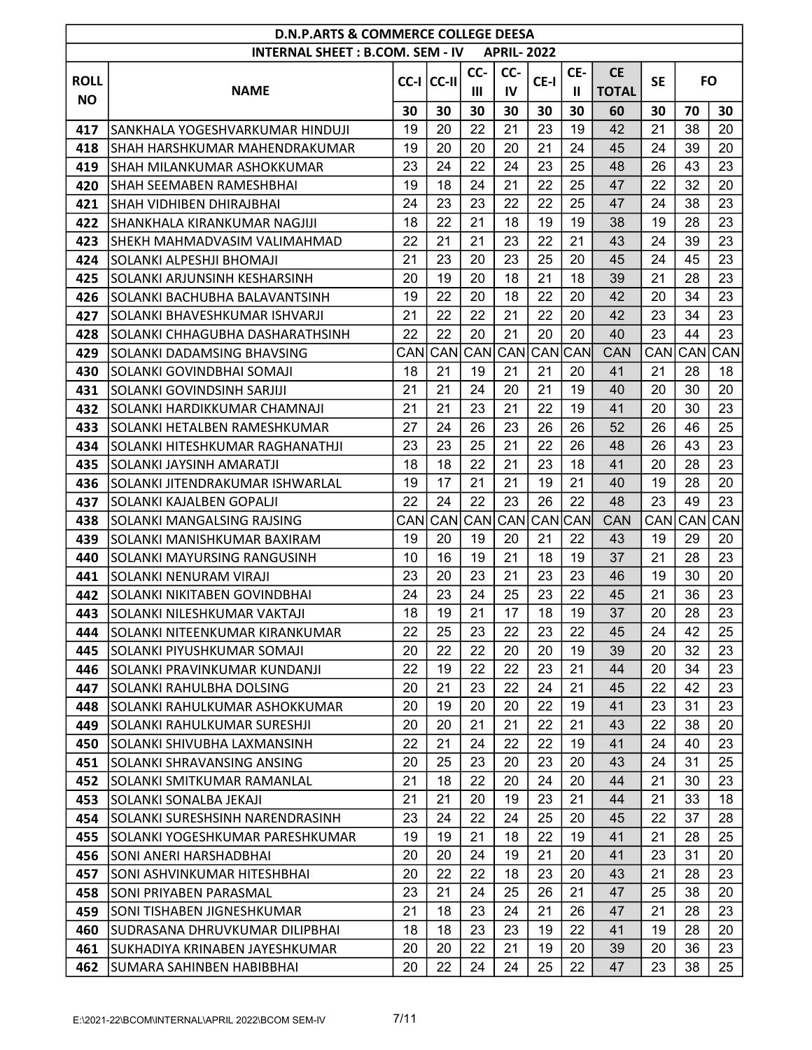|             | <b>D.N.P.ARTS &amp; COMMERCE COLLEGE DEESA</b><br><b>INTERNAL SHEET: B.COM. SEM - IV</b><br><b>APRIL-2022</b> |      |            |     |            |                      |     |              |           |            |           |  |  |  |
|-------------|---------------------------------------------------------------------------------------------------------------|------|------------|-----|------------|----------------------|-----|--------------|-----------|------------|-----------|--|--|--|
|             |                                                                                                               |      |            |     |            |                      |     |              |           |            |           |  |  |  |
| <b>ROLL</b> |                                                                                                               |      | CC-I CC-II | CC- | CC-        | CE-I                 | CE- | <b>CE</b>    | <b>SE</b> |            | <b>FO</b> |  |  |  |
| <b>NO</b>   | <b>NAME</b>                                                                                                   |      |            | Ш   | IV         |                      | Ш   | <b>TOTAL</b> |           |            |           |  |  |  |
|             |                                                                                                               | 30   | 30         | 30  | 30         | 30                   | 30  | 60           | 30        | 70         | 30        |  |  |  |
| 417         | ISANKHALA YOGESHVARKUMAR HINDUJI                                                                              | 19   | 20         | 22  | 21         | 23                   | 19  | 42           | 21        | 38         | 20        |  |  |  |
| 418         | SHAH HARSHKUMAR MAHENDRAKUMAR                                                                                 | 19   | 20         | 20  | 20         | 21                   | 24  | 45           | 24        | 39         | 20        |  |  |  |
| 419         | ISHAH MILANKUMAR ASHOKKUMAR                                                                                   | 23   | 24         | 22  | 24         | 23                   | 25  | 48           | 26        | 43         | 23        |  |  |  |
| 420         | ISHAH SEEMABEN RAMESHBHAI                                                                                     | 19   | 18         | 24  | 21         | 22                   | 25  | 47           | 22        | 32         | 20        |  |  |  |
| 421         | SHAH VIDHIBEN DHIRAJBHAI                                                                                      | 24   | 23         | 23  | 22         | 22                   | 25  | 47           | 24        | 38         | 23        |  |  |  |
| 422         | SHANKHALA KIRANKUMAR NAGJIJI                                                                                  | 18   | 22         | 21  | 18         | 19                   | 19  | 38           | 19        | 28         | 23        |  |  |  |
| 423         | ISHEKH MAHMADVASIM VALIMAHMAD                                                                                 | 22   | 21         | 21  | 23         | 22                   | 21  | 43           | 24        | 39         | 23        |  |  |  |
| 424         | SOLANKI ALPESHJI BHOMAJI                                                                                      | 21   | 23         | 20  | 23         | 25                   | 20  | 45           | 24        | 45         | 23        |  |  |  |
| 425         | SOLANKI ARJUNSINH KESHARSINH                                                                                  | 20   | 19         | 20  | 18         | 21                   | 18  | 39           | 21        | 28         | 23        |  |  |  |
| 426         | SOLANKI BACHUBHA BALAVANTSINH                                                                                 | 19   | 22         | 20  | 18         | 22                   | 20  | 42           | 20        | 34         | 23        |  |  |  |
| 427         | SOLANKI BHAVESHKUMAR ISHVARJI                                                                                 | 21   | 22         | 22  | 21         | 22                   | 20  | 42           | 23        | 34         | 23        |  |  |  |
| 428         | SOLANKI CHHAGUBHA DASHARATHSINH                                                                               | 22   | 22         | 20  | 21         | 20                   | 20  | 40           | 23        | 44         | 23        |  |  |  |
| 429         | SOLANKI DADAMSING BHAVSING                                                                                    | CANI | CAN        | CAN | CAN        | CAN <sub>I</sub> CAN |     | <b>CAN</b>   | CAN       | <b>CAN</b> | CAN       |  |  |  |
| 430         | SOLANKI GOVINDBHAI SOMAJI                                                                                     | 18   | 21         | 19  | 21         | 21                   | 20  | 41           | 21        | 28         | 18        |  |  |  |
| 431         | SOLANKI GOVINDSINH SARJIJI                                                                                    | 21   | 21         | 24  | 20         | 21                   | 19  | 40           | 20        | 30         | 20        |  |  |  |
| 432         | SOLANKI HARDIKKUMAR CHAMNAJI                                                                                  | 21   | 21         | 23  | 21         | 22                   | 19  | 41           | 20        | 30         | 23        |  |  |  |
| 433         | SOLANKI HETALBEN RAMESHKUMAR                                                                                  | 27   | 24         | 26  | 23         | 26                   | 26  | 52           | 26        | 46         | 25        |  |  |  |
| 434         | SOLANKI HITESHKUMAR RAGHANATHJI                                                                               | 23   | 23         | 25  | 21         | 22                   | 26  | 48           | 26        | 43         | 23        |  |  |  |
| 435         | SOLANKI JAYSINH AMARATJI                                                                                      | 18   | 18         | 22  | 21         | 23                   | 18  | 41           | 20        | 28         | 23        |  |  |  |
| 436         | ISOLANKI JITENDRAKUMAR ISHWARLAL                                                                              | 19   | 17         | 21  | 21         | 19                   | 21  | 40           | 19        | 28         | 20        |  |  |  |
| 437         | SOLANKI KAJALBEN GOPALJI                                                                                      | 22   | 24         | 22  | 23         | 26                   | 22  | 48           | 23        | 49         | 23        |  |  |  |
| 438         | SOLANKI MANGALSING RAJSING                                                                                    | CAN  | CAN        | CAN | <b>CAN</b> | <b>CAN</b> CAN       |     | <b>CAN</b>   | CAN       | CAN        | CAN       |  |  |  |
| 439         | SOLANKI MANISHKUMAR BAXIRAM                                                                                   | 19   | 20         | 19  | 20         | 21                   | 22  | 43           | 19        | 29         | 20        |  |  |  |
| 440         | SOLANKI MAYURSING RANGUSINH                                                                                   | 10   | 16         | 19  | 21         | 18                   | 19  | 37           | 21        | 28         | 23        |  |  |  |
| 441         | SOLANKI NENURAM VIRAJI                                                                                        | 23   | 20         | 23  | 21         | 23                   | 23  | 46           | 19        | 30         | 20        |  |  |  |
| 442         | SOLANKI NIKITABEN GOVINDBHAI                                                                                  | 24   | 23         | 24  | 25         | 23                   | 22  | 45           | 21        | 36         | 23        |  |  |  |
| 443         | SOLANKI NILESHKUMAR VAKTAJI                                                                                   | 18   | 19         | 21  | 17         | 18                   | 19  | 37           | 20        | 28         | 23        |  |  |  |
| 444         | SOLANKI NITEENKUMAR KIRANKUMAR                                                                                | 22   | 25         | 23  | 22         | 23                   | 22  | 45           | 24        | 42         | 25        |  |  |  |
| 445         | SOLANKI PIYUSHKUMAR SOMAJI                                                                                    | 20   | 22         | 22  | 20         | 20                   | 19  | 39           | 20        | 32         | 23        |  |  |  |
| 446         | SOLANKI PRAVINKUMAR KUNDANJI                                                                                  | 22   | 19         | 22  | 22         | 23                   | 21  | 44           | 20        | 34         | 23        |  |  |  |
| 447         | SOLANKI RAHULBHA DOLSING                                                                                      | 20   | 21         | 23  | 22         | 24                   | 21  | 45           | 22        | 42         | 23        |  |  |  |
| 448         | SOLANKI RAHULKUMAR ASHOKKUMAR                                                                                 | 20   | 19         | 20  | 20         | 22                   | 19  | 41           | 23        | 31         | 23        |  |  |  |
| 449         | SOLANKI RAHULKUMAR SURESHJI                                                                                   | 20   | 20         | 21  | 21         | 22                   | 21  | 43           | 22        | 38         | 20        |  |  |  |
| 450         | SOLANKI SHIVUBHA LAXMANSINH                                                                                   | 22   | 21         | 24  | 22         | 22                   | 19  | 41           | 24        | 40         | 23        |  |  |  |
| 451         | SOLANKI SHRAVANSING ANSING                                                                                    | 20   | 25         | 23  | 20         | 23                   | 20  | 43           | 24        | 31         | 25        |  |  |  |
| 452         | SOLANKI SMITKUMAR RAMANLAL                                                                                    | 21   | 18         | 22  | 20         | 24                   | 20  | 44           | 21        | 30         | 23        |  |  |  |
| 453         | SOLANKI SONALBA JEKAJI                                                                                        | 21   | 21         | 20  | 19         | 23                   | 21  | 44           | 21        | 33         | 18        |  |  |  |
| 454         | SOLANKI SURESHSINH NARENDRASINH                                                                               | 23   | 24         | 22  | 24         | 25                   | 20  | 45           | 22        | 37         | 28        |  |  |  |
| 455         | SOLANKI YOGESHKUMAR PARESHKUMAR                                                                               | 19   | 19         | 21  | 18         | 22                   | 19  | 41           | 21        | 28         | 25        |  |  |  |
| 456         | ISONI ANERI HARSHADBHAI                                                                                       | 20   | 20         | 24  | 19         | 21                   | 20  | 41           | 23        | 31         | 20        |  |  |  |
| 457         | SONI ASHVINKUMAR HITESHBHAI                                                                                   | 20   | 22         | 22  | 18         | 23                   | 20  | 43           | 21        | 28         | 23        |  |  |  |
| 458         | SONI PRIYABEN PARASMAL                                                                                        | 23   | 21         | 24  | 25         | 26                   | 21  | 47           | 25        | 38         | 20        |  |  |  |
| 459         | SONI TISHABEN JIGNESHKUMAR                                                                                    | 21   | 18         | 23  | 24         | 21                   | 26  | 47           | 21        | 28         | 23        |  |  |  |
| 460         | SUDRASANA DHRUVKUMAR DILIPBHAI                                                                                | 18   | 18         | 23  | 23         | 19                   | 22  | 41           | 19        | 28         | 20        |  |  |  |
| 461         | ISUKHADIYA KRINABEN JAYESHKUMAR                                                                               | 20   | 20         | 22  | 21         | 19                   | 20  | 39           | 20        | 36         | 23        |  |  |  |
| 462         | SUMARA SAHINBEN HABIBBHAI                                                                                     | 20   | 22         | 24  | 24         | 25                   | 22  | 47           | 23        | 38         | 25        |  |  |  |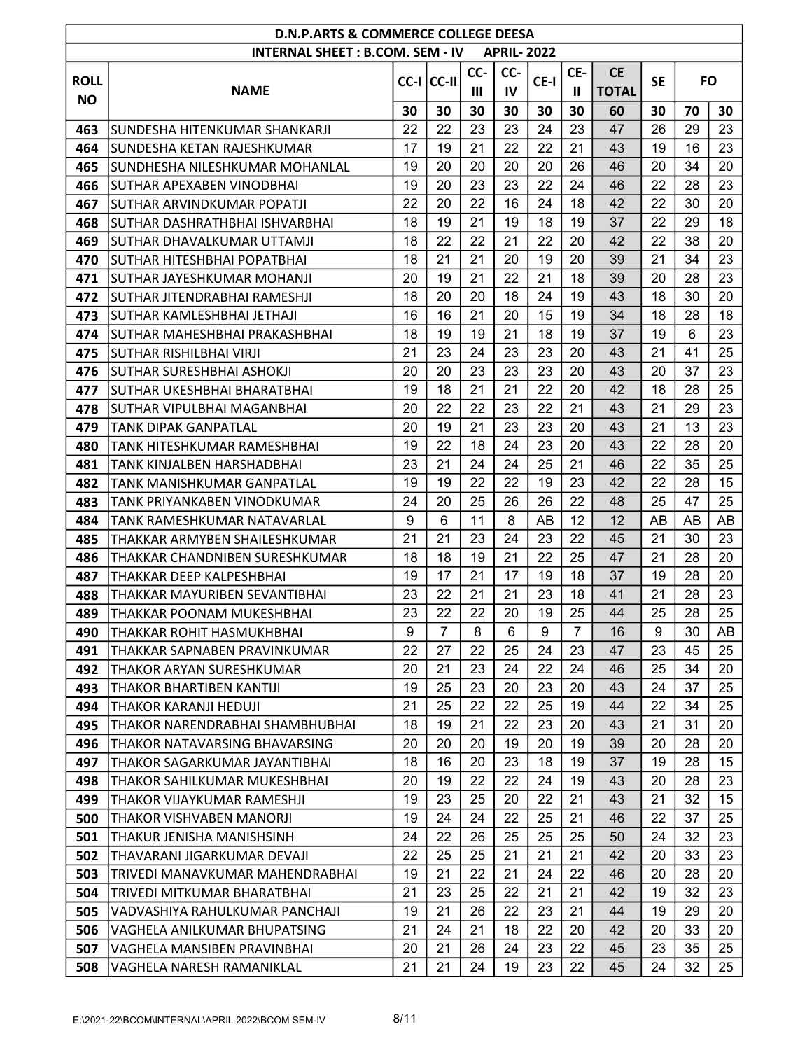|             | <b>D.N.P.ARTS &amp; COMMERCE COLLEGE DEESA</b> |    |                    |     |                   |      |     |              |           |           |    |
|-------------|------------------------------------------------|----|--------------------|-----|-------------------|------|-----|--------------|-----------|-----------|----|
|             | <b>INTERNAL SHEET: B.COM. SEM - IV</b>         |    |                    |     | <b>APRIL-2022</b> |      |     |              |           |           |    |
| <b>ROLL</b> |                                                |    | $ CC-I $ $ CC-II $ | CC- | CC-               | CE-I | CE- | <b>CE</b>    | <b>SE</b> | <b>FO</b> |    |
| <b>NO</b>   | <b>NAME</b>                                    |    |                    | Ш   | IV                |      | Ш   | <b>TOTAL</b> |           |           |    |
|             |                                                | 30 | 30                 | 30  | 30                | 30   | 30  | 60           | 30        | 70        | 30 |
| 463         | ISUNDESHA HITENKUMAR SHANKARJI                 | 22 | 22                 | 23  | 23                | 24   | 23  | 47           | 26        | 29        | 23 |
| 464         | ISUNDESHA KETAN RAJESHKUMAR                    | 17 | 19                 | 21  | 22                | 22   | 21  | 43           | 19        | 16        | 23 |
| 465         | SUNDHESHA NILESHKUMAR MOHANLAL                 | 19 | 20                 | 20  | 20                | 20   | 26  | 46           | 20        | 34        | 20 |
| 466         | ISUTHAR APEXABEN VINODBHAI                     | 19 | 20                 | 23  | 23                | 22   | 24  | 46           | 22        | 28        | 23 |
| 467         | SUTHAR ARVINDKUMAR POPATJI                     | 22 | 20                 | 22  | 16                | 24   | 18  | 42           | 22        | 30        | 20 |
| 468         | SUTHAR DASHRATHBHAI ISHVARBHAI                 | 18 | 19                 | 21  | 19                | 18   | 19  | 37           | 22        | 29        | 18 |
| 469         | ISUTHAR DHAVALKUMAR UTTAMJI                    | 18 | 22                 | 22  | 21                | 22   | 20  | 42           | 22        | 38        | 20 |
| 470         | ISUTHAR HITESHBHAI POPATBHAI                   | 18 | 21                 | 21  | 20                | 19   | 20  | 39           | 21        | 34        | 23 |
| 471         | İSUTHAR JAYESHKUMAR MOHANJI                    | 20 | 19                 | 21  | 22                | 21   | 18  | 39           | 20        | 28        | 23 |
| 472         | İSUTHAR JITENDRABHAI RAMESHJI                  | 18 | 20                 | 20  | 18                | 24   | 19  | 43           | 18        | 30        | 20 |
| 473         | İSUTHAR KAMLESHBHAI JETHAJI                    | 16 | 16                 | 21  | 20                | 15   | 19  | 34           | 18        | 28        | 18 |
| 474         | SUTHAR MAHESHBHAI PRAKASHBHAI                  | 18 | 19                 | 19  | 21                | 18   | 19  | 37           | 19        | 6         | 23 |
| 475         | ISUTHAR RISHILBHAI VIRJI                       | 21 | 23                 | 24  | 23                | 23   | 20  | 43           | 21        | 41        | 25 |
| 476         | İSUTHAR SURESHBHAI ASHOKJI                     | 20 | 20                 | 23  | 23                | 23   | 20  | 43           | 20        | 37        | 23 |
| 477         | SUTHAR UKESHBHAI BHARATBHAI                    | 19 | 18                 | 21  | 21                | 22   | 20  | 42           | 18        | 28        | 25 |
| 478         | SUTHAR VIPULBHAI MAGANBHAI                     | 20 | 22                 | 22  | 23                | 22   | 21  | 43           | 21        | 29        | 23 |
| 479         | TANK DIPAK GANPATLAL                           | 20 | 19                 | 21  | 23                | 23   | 20  | 43           | 21        | 13        | 23 |
| 480         | TANK HITESHKUMAR RAMESHBHAI                    | 19 | 22                 | 18  | 24                | 23   | 20  | 43           | 22        | 28        | 20 |
| 481         | TANK KINJALBEN HARSHADBHAI                     | 23 | 21                 | 24  | 24                | 25   | 21  | 46           | 22        | 35        | 25 |
| 482         | TANK MANISHKUMAR GANPATLAL                     | 19 | 19                 | 22  | 22                | 19   | 23  | 42           | 22        | 28        | 15 |
| 483         | TANK PRIYANKABEN VINODKUMAR                    | 24 | 20                 | 25  | 26                | 26   | 22  | 48           | 25        | 47        | 25 |
| 484         | TANK RAMESHKUMAR NATAVARLAL                    | 9  | 6                  | 11  | 8                 | AB   | 12  | 12           | AB        | AB        | AB |
| 485         | THAKKAR ARMYBEN SHAILESHKUMAR                  | 21 | 21                 | 23  | 24                | 23   | 22  | 45           | 21        | 30        | 23 |
| 486         | THAKKAR CHANDNIBEN SURESHKUMAR                 | 18 | 18                 | 19  | 21                | 22   | 25  | 47           | 21        | 28        | 20 |
| 487         | THAKKAR DEEP KALPESHBHAI                       | 19 | 17                 | 21  | 17                | 19   | 18  | 37           | 19        | 28        | 20 |
| 488         | THAKKAR MAYURIBEN SEVANTIBHAI                  | 23 | 22                 | 21  | 21                | 23   | 18  | 41           | 21        | 28        | 23 |
| 489         | THAKKAR POONAM MUKESHBHAI                      | 23 | 22                 | 22  | 20                | 19   | 25  | 44           | 25        | 28        | 25 |
| 490         | THAKKAR ROHIT HASMUKHBHAI                      | 9  | 7                  | 8   | 6                 | 9    | 7   | 16           | 9         | 30        | AB |
| 491         | THAKKAR SAPNABEN PRAVINKUMAR                   | 22 | 27                 | 22  | 25                | 24   | 23  | 47           | 23        | 45        | 25 |
| 492         | THAKOR ARYAN SURESHKUMAR                       | 20 | 21                 | 23  | 24                | 22   | 24  | 46           | 25        | 34        | 20 |
| 493         | <b>THAKOR BHARTIBEN KANTIJI</b>                | 19 | 25                 | 23  | 20                | 23   | 20  | 43           | 24        | 37        | 25 |
| 494         | THAKOR KARANJI HEDUJI                          | 21 | 25                 | 22  | 22                | 25   | 19  | 44           | 22        | 34        | 25 |
| 495         | THAKOR NARENDRABHAI SHAMBHUBHAI                | 18 | 19                 | 21  | 22                | 23   | 20  | 43           | 21        | 31        | 20 |
| 496         | THAKOR NATAVARSING BHAVARSING                  | 20 | 20                 | 20  | 19                | 20   | 19  | 39           | 20        | 28        | 20 |
| 497         | THAKOR SAGARKUMAR JAYANTIBHAI                  | 18 | 16                 | 20  | 23                | 18   | 19  | 37           | 19        | 28        | 15 |
| 498         | THAKOR SAHILKUMAR MUKESHBHAI                   | 20 | 19                 | 22  | 22                | 24   | 19  | 43           | 20        | 28        | 23 |
| 499         | THAKOR VIJAYKUMAR RAMESHJI                     | 19 | 23                 | 25  | 20                | 22   | 21  | 43           | 21        | 32        | 15 |
| 500         | THAKOR VISHVABEN MANORJI                       | 19 | 24                 | 24  | 22                | 25   | 21  | 46           | 22        | 37        | 25 |
| 501         | THAKUR JENISHA MANISHSINH                      | 24 | 22                 | 26  | 25                | 25   | 25  | 50           | 24        | 32        | 23 |
| 502         | THAVARANI JIGARKUMAR DEVAJI                    | 22 | 25                 | 25  | 21                | 21   | 21  | 42           | 20        | 33        | 23 |
| 503         | TRIVEDI MANAVKUMAR MAHENDRABHAI                | 19 | 21                 | 22  | 21                | 24   | 22  | 46           | 20        | 28        | 20 |
| 504         | TRIVEDI MITKUMAR BHARATBHAI                    | 21 | 23                 | 25  | 22                | 21   | 21  | 42           | 19        | 32        | 23 |
| 505         | VADVASHIYA RAHULKUMAR PANCHAJI                 | 19 | 21                 | 26  | 22                | 23   | 21  | 44           | 19        | 29        | 20 |
| 506         | VAGHELA ANILKUMAR BHUPATSING                   | 21 | 24                 | 21  | 18                | 22   | 20  | 42           | 20        | 33        | 20 |
| 507         | VAGHELA MANSIBEN PRAVINBHAI                    | 20 | 21                 | 26  | 24                | 23   | 22  | 45           | 23        | 35        | 25 |
| 508         | VAGHELA NARESH RAMANIKLAL                      | 21 | 21                 | 24  | 19                | 23   | 22  | 45           | 24        | 32        | 25 |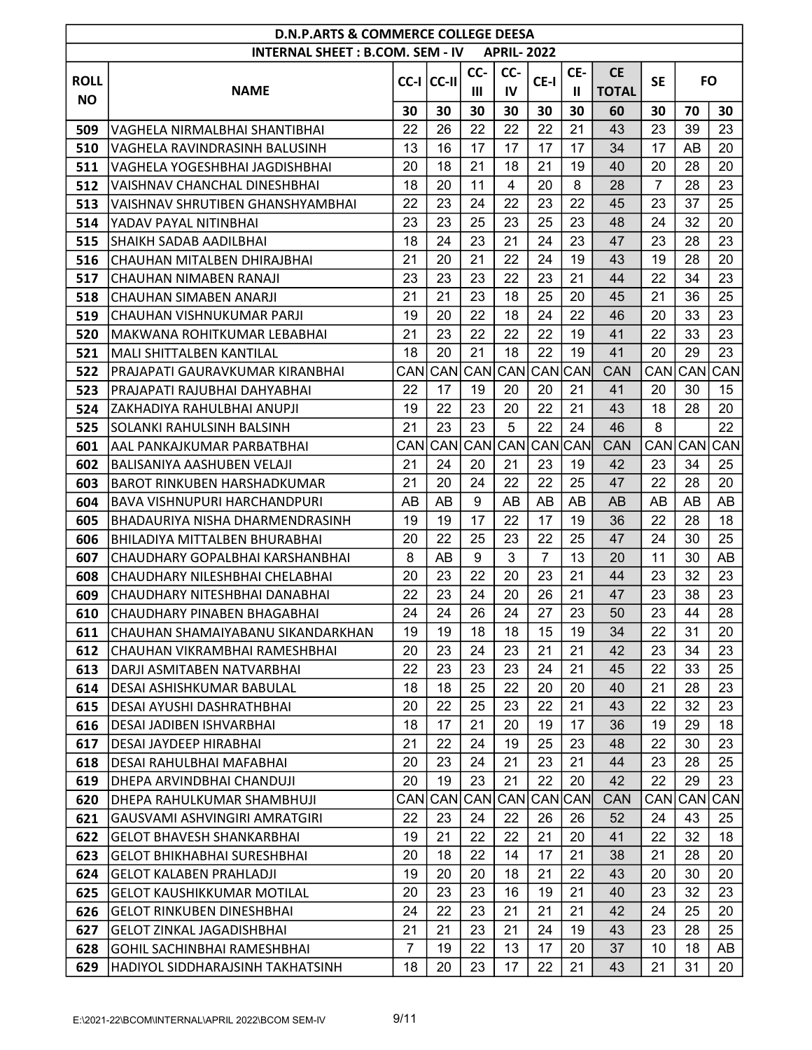|             | <b>D.N.P.ARTS &amp; COMMERCE COLLEGE DEESA</b> |                |            |                |                   |                    |              |              |                |     |           |
|-------------|------------------------------------------------|----------------|------------|----------------|-------------------|--------------------|--------------|--------------|----------------|-----|-----------|
|             | <b>INTERNAL SHEET: B.COM. SEM - IV</b>         |                |            |                | <b>APRIL-2022</b> |                    |              |              |                |     |           |
| <b>ROLL</b> |                                                |                | CC-I CC-II | CC-            | CC-               | CE-I               | CE-          | <b>CE</b>    | <b>SE</b>      |     | <b>FO</b> |
| <b>NO</b>   | <b>NAME</b>                                    |                |            | $\mathbf{III}$ | IV                |                    | $\mathbf{I}$ | <b>TOTAL</b> |                |     |           |
|             |                                                | 30             | 30         | 30             | 30                | 30                 | 30           | 60           | 30             | 70  | 30        |
| 509         | VAGHELA NIRMALBHAI SHANTIBHAI                  | 22             | 26         | 22             | 22                | 22                 | 21           | 43           | 23             | 39  | 23        |
| 510         | VAGHELA RAVINDRASINH BALUSINH                  | 13             | 16         | 17             | 17                | 17                 | 17           | 34           | 17             | AB  | 20        |
| 511         | VAGHELA YOGESHBHAI JAGDISHBHAI                 | 20             | 18         | 21             | 18                | 21                 | 19           | 40           | 20             | 28  | 20        |
| 512         | VAISHNAV CHANCHAL DINESHBHAI                   | 18             | 20         | 11             | 4                 | 20                 | 8            | 28           | $\overline{7}$ | 28  | 23        |
| 513         | VAISHNAV SHRUTIBEN GHANSHYAMBHAI               | 22             | 23         | 24             | 22                | 23                 | 22           | 45           | 23             | 37  | 25        |
| 514         | YADAV PAYAL NITINBHAI                          | 23             | 23         | 25             | 23                | 25                 | 23           | 48           | 24             | 32  | 20        |
| 515         | ISHAIKH SADAB AADILBHAI                        | 18             | 24         | 23             | 21                | 24                 | 23           | 47           | 23             | 28  | 23        |
| 516         | CHAUHAN MITALBEN DHIRAJBHAI                    | 21             | 20         | 21             | 22                | 24                 | 19           | 43           | 19             | 28  | 20        |
| 517         | CHAUHAN NIMABEN RANAJI                         | 23             | 23         | 23             | 22                | 23                 | 21           | 44           | 22             | 34  | 23        |
| 518         | CHAUHAN SIMABEN ANARJI                         | 21             | 21         | 23             | 18                | 25                 | 20           | 45           | 21             | 36  | 25        |
| 519         | CHAUHAN VISHNUKUMAR PARJI                      | 19             | 20         | 22             | 18                | 24                 | 22           | 46           | 20             | 33  | 23        |
| 520         | MAKWANA ROHITKUMAR LEBABHAI                    | 21             | 23         | 22             | 22                | 22                 | 19           | 41           | 22             | 33  | 23        |
| 521         | <b>MALI SHITTALBEN KANTILAL</b>                | 18             | 20         | 21             | 18                | 22                 | 19           | 41           | 20             | 29  | 23        |
| 522         | PRAJAPATI GAURAVKUMAR KIRANBHAI                |                | CAN CAN    | CAN            | <b>CAN</b>        | <b>CAN</b> CAN     |              | <b>CAN</b>   | CAN            | CAN | CAN       |
| 523         | PRAJAPATI RAJUBHAI DAHYABHAI                   | 22             | 17         | 19             | 20                | 20                 | 21           | 41           | 20             | 30  | 15        |
| 524         | ZAKHADIYA RAHULBHAI ANUPJI                     | 19             | 22         | 23             | 20                | 22                 | 21           | 43           | 18             | 28  | 20        |
| 525         | SOLANKI RAHULSINH BALSINH                      | 21             | 23         | 23             | 5                 | 22                 | 24           | 46           | 8              |     | 22        |
| 601         | AAL PANKAJKUMAR PARBATBHAI                     |                | CAN CAN    | CAN            | <b>CAN</b>        | <b>CAN</b> CAN     |              | <b>CAN</b>   | CAN            | CAN | CAN       |
| 602         | BALISANIYA AASHUBEN VELAJI                     | 21             | 24         | 20             | 21                | 23                 | 19           | 42           | 23             | 34  | 25        |
| 603         | <b>BAROT RINKUBEN HARSHADKUMAR</b>             | 21             | 20         | 24             | 22                | 22                 | 25           | 47           | 22             | 28  | 20        |
| 604         | <b>BAVA VISHNUPURI HARCHANDPURI</b>            | AB             | AB         | 9              | AB                | AB                 | AB           | AB           | AB             | AB  | AB        |
| 605         | BHADAURIYA NISHA DHARMENDRASINH                | 19             | 19         | 17             | 22                | 17                 | 19           | 36           | 22             | 28  | 18        |
| 606         | BHILADIYA MITTALBEN BHURABHAI                  | 20             | 22         | 25             | 23                | 22                 | 25           | 47           | 24             | 30  | 25        |
| 607         | CHAUDHARY GOPALBHAI KARSHANBHAI                | 8              | AB         | 9              | 3                 | $\overline{7}$     | 13           | 20           | 11             | 30  | AB        |
| 608         | CHAUDHARY NILESHBHAI CHELABHAI                 | 20             | 23         | 22             | 20                | 23                 | 21           | 44           | 23             | 32  | 23        |
| 609         | CHAUDHARY NITESHBHAI DANABHAI                  | 22             | 23         | 24             | 20                | 26                 | 21           | 47           | 23             | 38  | 23        |
| 610         | CHAUDHARY PINABEN BHAGABHAI                    | 24             | 24         | 26             | 24                | 27                 | 23           | 50           | 23             | 44  | 28        |
| 611         | CHAUHAN SHAMAIYABANU SIKANDARKHAN              | 19             | 19         | 18             | 18                | 15                 | 19           | 34           | 22             | 31  | 20        |
| 612         | CHAUHAN VIKRAMBHAI RAMESHBHAI                  | 20             | 23         | 24             | 23                | 21                 | 21           | 42           | 23             | 34  | 23        |
| 613         | DARJI ASMITABEN NATVARBHAI                     | 22             | 23         | 23             | 23                | 24                 | 21           | 45           | 22             | 33  | 25        |
| 614         | DESAI ASHISHKUMAR BABULAL                      | 18             | 18         | 25             | 22                | 20                 | 20           | 40           | 21             | 28  | 23        |
| 615         | <b>DESAI AYUSHI DASHRATHBHAI</b>               | 20             | 22         | 25             | 23                | 22                 | 21           | 43           | 22             | 32  | 23        |
| 616         | <b>DESAI JADIBEN ISHVARBHAI</b>                | 18             | 17         | 21             | 20                | 19                 | 17           | 36           | 19             | 29  | 18        |
| 617         | DESAI JAYDEEP HIRABHAI                         | 21             | 22         | 24             | 19                | 25                 | 23           | 48           | 22             | 30  | 23        |
| 618         | DESAI RAHULBHAI MAFABHAI                       | 20             | 23         | 24             | 21                | 23                 | 21           | 44           | 23             | 28  | 25        |
| 619         | DHEPA ARVINDBHAI CHANDUJI                      | 20             | 19         | 23             | 21                | 22                 | 20           | 42           | 22             | 29  | 23        |
| 620         | DHEPA RAHULKUMAR SHAMBHUJI                     | CANI           | CAN        | CAN            | <b>CAN</b>        | CAN <sub>CAN</sub> |              | <b>CAN</b>   | CAN            | CAN | CAN       |
| 621         | GAUSVAMI ASHVINGIRI AMRATGIRI                  | 22             | 23         | 24             | 22                | 26                 | 26           | 52           | 24             | 43  | 25        |
| 622         | <b>GELOT BHAVESH SHANKARBHAI</b>               | 19             | 21         | 22             | 22                | 21                 | 20           | 41           | 22             | 32  | 18        |
| 623         | <b>GELOT BHIKHABHAI SURESHBHAI</b>             | 20             | 18         | 22             | 14                | 17                 | 21           | 38           | 21             | 28  | 20        |
| 624         | GELOT KALABEN PRAHLADJI                        | 19             | 20         | 20             | 18                | 21                 | 22           | 43           | 20             | 30  | 20        |
| 625         | <b>GELOT KAUSHIKKUMAR MOTILAL</b>              | 20             | 23         | 23             | 16                | 19                 | 21           | 40           | 23             | 32  | 23        |
| 626         | <b>GELOT RINKUBEN DINESHBHAI</b>               | 24             | 22         | 23             | 21                | 21                 | 21           | 42           | 24             | 25  | 20        |
| 627         | <b>GELOT ZINKAL JAGADISHBHAI</b>               | 21             | 21         | 23             | 21                | 24                 | 19           | 43           | 23             | 28  | 25        |
| 628         | <b>GOHIL SACHINBHAI RAMESHBHAI</b>             | $\overline{7}$ | 19         | 22             | 13                | 17                 | 20           | 37           | 10             | 18  | AB        |
| 629         | HADIYOL SIDDHARAJSINH TAKHATSINH               | 18             | 20         | 23             | 17                | 22                 | 21           | 43           | 21             | 31  | 20        |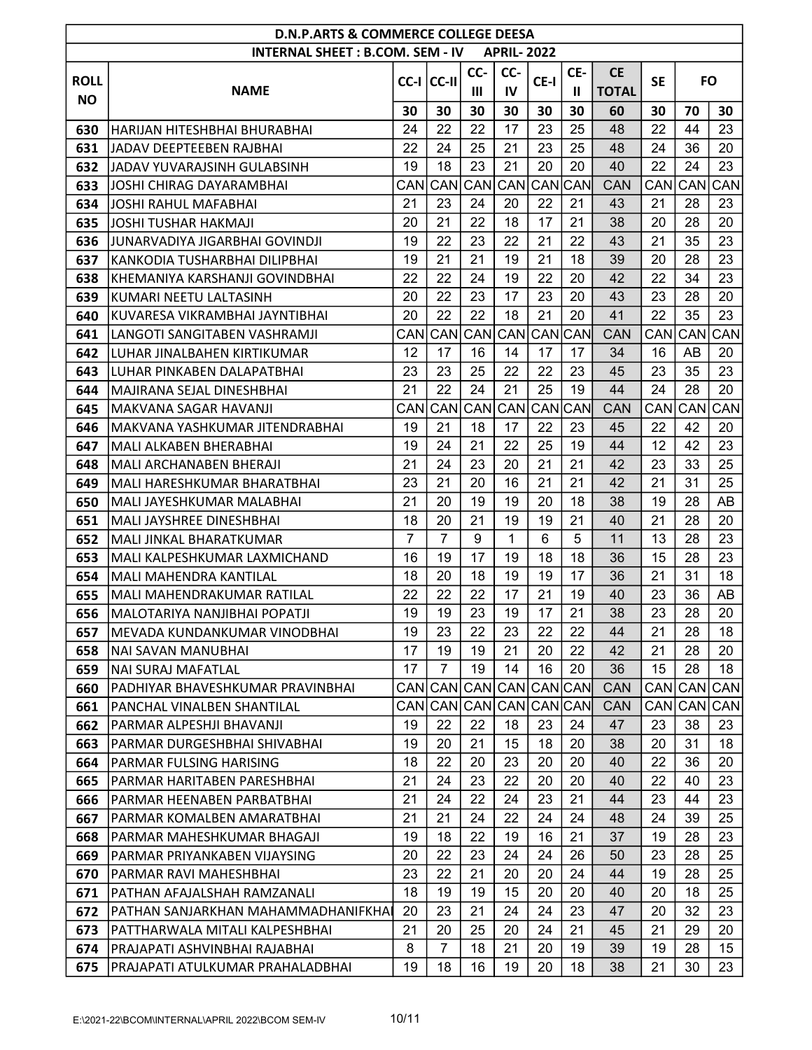|             | <b>D.N.P.ARTS &amp; COMMERCE COLLEGE DEESA</b><br><b>INTERNAL SHEET: B.COM. SEM - IV</b><br><b>APRIL-2022</b> |                |                |         |            |             |            |              |           |           |            |  |  |  |
|-------------|---------------------------------------------------------------------------------------------------------------|----------------|----------------|---------|------------|-------------|------------|--------------|-----------|-----------|------------|--|--|--|
|             |                                                                                                               |                |                |         |            |             |            |              |           |           |            |  |  |  |
| <b>ROLL</b> |                                                                                                               |                | CC-I CC-II     | CC-     | CC-        | CE-I        | CE-        | <b>CE</b>    | <b>SE</b> | <b>FO</b> |            |  |  |  |
| <b>NO</b>   | <b>NAME</b>                                                                                                   |                |                | Ш       | IV         |             | Ш          | <b>TOTAL</b> |           |           |            |  |  |  |
|             |                                                                                                               | 30             | 30             | 30      | 30         | 30          | 30         | 60           | 30        | 70        | 30         |  |  |  |
| 630         | IHARIJAN HITESHBHAI BHURABHAI                                                                                 | 24             | 22             | 22      | 17         | 23          | 25         | 48           | 22        | 44        | 23         |  |  |  |
| 631         | IJADAV DEEPTEEBEN RAJBHAI                                                                                     | 22             | 24             | 25      | 21         | 23          | 25         | 48           | 24        | 36        | 20         |  |  |  |
| 632         | JADAV YUVARAJSINH GULABSINH                                                                                   | 19             | 18             | 23      | 21         | 20          | 20         | 40           | 22        | 24        | 23         |  |  |  |
| 633         | JOSHI CHIRAG DAYARAMBHAI                                                                                      | CANI           | CAN            | CAN     | <b>CAN</b> | CAN         | <b>CAN</b> | <b>CAN</b>   | CAN       | CAN       | CAN        |  |  |  |
| 634         | JOSHI RAHUL MAFABHAI                                                                                          | 21             | 23             | 24      | 20         | 22          | 21         | 43           | 21        | 28        | 23         |  |  |  |
| 635         | JOSHI TUSHAR HAKMAJI                                                                                          | 20             | 21             | 22      | 18         | 17          | 21         | 38           | 20        | 28        | 20         |  |  |  |
| 636         | JUNARVADIYA JIGARBHAI GOVINDJI                                                                                | 19             | 22             | 23      | 22         | 21          | 22         | 43           | 21        | 35        | 23         |  |  |  |
| 637         | KANKODIA TUSHARBHAI DILIPBHAI                                                                                 | 19             | 21             | 21      | 19         | 21          | 18         | 39           | 20        | 28        | 23         |  |  |  |
| 638         | KHEMANIYA KARSHANJI GOVINDBHAI                                                                                | 22             | 22             | 24      | 19         | 22          | 20         | 42           | 22        | 34        | 23         |  |  |  |
| 639         | KUMARI NEETU LALTASINH                                                                                        | 20             | 22             | 23      | 17         | 23          | 20         | 43           | 23        | 28        | 20         |  |  |  |
| 640         | KUVARESA VIKRAMBHAI JAYNTIBHAI                                                                                | 20             | 22             | 22      | 18         | 21          | 20         | 41           | 22        | 35        | 23         |  |  |  |
| 641         | LANGOTI SANGITABEN VASHRAMJI                                                                                  | CAN            | CAN            | CAN     | <b>CAN</b> | CANCAN      |            | <b>CAN</b>   | CAN       | CAN       | CAN        |  |  |  |
| 642         | LUHAR JINALBAHEN KIRTIKUMAR                                                                                   | 12             | 17             | 16      | 14         | 17          | 17         | 34           | 16        | AB        | 20         |  |  |  |
| 643         | LUHAR PINKABEN DALAPATBHAI                                                                                    | 23             | 23             | 25      | 22         | 22          | 23         | 45           | 23        | 35        | 23         |  |  |  |
| 644         | MAJIRANA SEJAL DINESHBHAI                                                                                     | 21             | 22             | 24      | 21         | 25          | 19         | 44           | 24        | 28        | 20         |  |  |  |
| 645         | MAKVANA SAGAR HAVANJI                                                                                         | CAN            | CAN            | CAN     | CAN        | CAN         | <b>CAN</b> | <b>CAN</b>   | CAN       | CAN       | CAN        |  |  |  |
| 646         | MAKVANA YASHKUMAR JITENDRABHAI                                                                                | 19             | 21             | 18      | 17         | 22          | 23         | 45           | 22        | 42        | 20         |  |  |  |
| 647         | MALI ALKABEN BHERABHAI                                                                                        | 19             | 24             | 21      | 22         | 25          | 19         | 44           | 12        | 42        | 23         |  |  |  |
| 648         | MALI ARCHANABEN BHERAJI                                                                                       | 21             | 24             | 23      | 20         | 21          | 21         | 42           | 23        | 33        | 25         |  |  |  |
| 649         | MALI HARESHKUMAR BHARATBHAI                                                                                   | 23             | 21             | 20      | 16         | 21          | 21         | 42           | 21        | 31        | 25         |  |  |  |
| 650         | MALI JAYESHKUMAR MALABHAI                                                                                     | 21             | 20             | 19      | 19         | 20          | 18         | 38           | 19        | 28        | AB         |  |  |  |
| 651         | <b>MALI JAYSHREE DINESHBHAI</b>                                                                               | 18             | 20             | 21      | 19         | 19          | 21         | 40           | 21        | 28        | 20         |  |  |  |
| 652         | MALI JINKAL BHARATKUMAR                                                                                       | $\overline{7}$ | $\overline{7}$ | 9       | 1          | 6           | 5          | 11           | 13        | 28        | 23         |  |  |  |
| 653         | MALI KALPESHKUMAR LAXMICHAND                                                                                  | 16             | 19             | 17      | 19         | 18          | 18         | 36           | 15        | 28        | 23         |  |  |  |
| 654         | <b>MALI MAHENDRA KANTILAL</b>                                                                                 | 18             | 20             | 18      | 19         | 19          | 17         | 36           | 21        | 31        | 18         |  |  |  |
| 655         | MALI MAHENDRAKUMAR RATILAL                                                                                    | 22             | 22             | 22      | 17         | 21          | 19         | 40           | 23        | 36        | AB         |  |  |  |
| 656         | İMALOTARIYA NANJIBHAI POPATJI                                                                                 | 19             | 19             | 23      | 19         | 17          | 21         | 38           | 23        | 28        | 20         |  |  |  |
| 657         | MEVADA KUNDANKUMAR VINODBHAI                                                                                  | 19             | 23             | 22      | 23         | 22          | 22         | 44           | 21        | 28        | 18         |  |  |  |
| 658         | NAI SAVAN MANUBHAI                                                                                            | 17             | 19             | 19      | 21         | 20          | 22         | 42           | 21        | 28        | 20         |  |  |  |
| 659         | NAI SURAJ MAFATLAL                                                                                            | 17             | $\overline{7}$ | 19      | 14         | 16          | 20         | 36           | 15        | 28        | 18         |  |  |  |
| 660         | PADHIYAR BHAVESHKUMAR PRAVINBHAI                                                                              | CANI           |                | CAN CAN |            | CAN CAN CAN |            | <b>CAN</b>   | CAN       | CAN       | <b>CAN</b> |  |  |  |
| 661         | PANCHAL VINALBEN SHANTILAL                                                                                    | CANI           |                | CAN CAN |            | CAN CAN CAN |            | <b>CAN</b>   | CAN       |           | CAN CAN    |  |  |  |
| 662         | PARMAR ALPESHJI BHAVANJI                                                                                      | 19             | 22             | 22      | 18         | 23          | 24         | 47           | 23        | 38        | 23         |  |  |  |
| 663         | PARMAR DURGESHBHAI SHIVABHAI                                                                                  | 19             | 20             | 21      | 15         | 18          | 20         | 38           | 20        | 31        | 18         |  |  |  |
| 664         | PARMAR FULSING HARISING                                                                                       | 18             | 22             | 20      | 23         | 20          | 20         | 40           | 22        | 36        | 20         |  |  |  |
| 665         | PARMAR HARITABEN PARESHBHAI                                                                                   | 21             | 24             | 23      | 22         | 20          | 20         | 40           | 22        | 40        | 23         |  |  |  |
| 666         | PARMAR HEENABEN PARBATBHAI                                                                                    | 21             | 24             | 22      | 24         | 23          | 21         | 44           | 23        | 44        | 23         |  |  |  |
| 667         | PARMAR KOMALBEN AMARATBHAI                                                                                    | 21             | 21             | 24      | 22         | 24          | 24         | 48           | 24        | 39        | 25         |  |  |  |
| 668         | IPARMAR MAHESHKUMAR BHAGAJI                                                                                   | 19             | 18             | 22      | 19         | 16          | 21         | 37           | 19        | 28        | 23         |  |  |  |
| 669         | PARMAR PRIYANKABEN VIJAYSING                                                                                  | 20             | 22             | 23      | 24         | 24          | 26         | 50           | 23        | 28        | 25         |  |  |  |
| 670         | PARMAR RAVI MAHESHBHAI                                                                                        | 23             | 22             | 21      | 20         | 20          | 24         | 44           | 19        | 28        | 25         |  |  |  |
| 671         | PATHAN AFAJALSHAH RAMZANALI                                                                                   | 18             | 19             | 19      | 15         | 20          | 20         | 40           | 20        | 18        | 25         |  |  |  |
| 672         | PATHAN SANJARKHAN MAHAMMADHANIFKHA                                                                            | 20             | 23             | 21      | 24         | 24          | 23         | 47           | 20        | 32        | 23         |  |  |  |
| 673         | PATTHARWALA MITALI KALPESHBHAI                                                                                | 21             | 20             | 25      | 20         | 24          | 21         | 45           | 21        | 29        | 20         |  |  |  |
| 674         | PRAJAPATI ASHVINBHAI RAJABHAI                                                                                 | 8              | $\overline{7}$ | 18      | 21         | 20          | 19         | 39           | 19        | 28        | 15         |  |  |  |
| 675         | PRAJAPATI ATULKUMAR PRAHALADBHAI                                                                              | 19             | 18             | 16      | 19         | 20          | 18         | 38           | 21        | 30        | 23         |  |  |  |